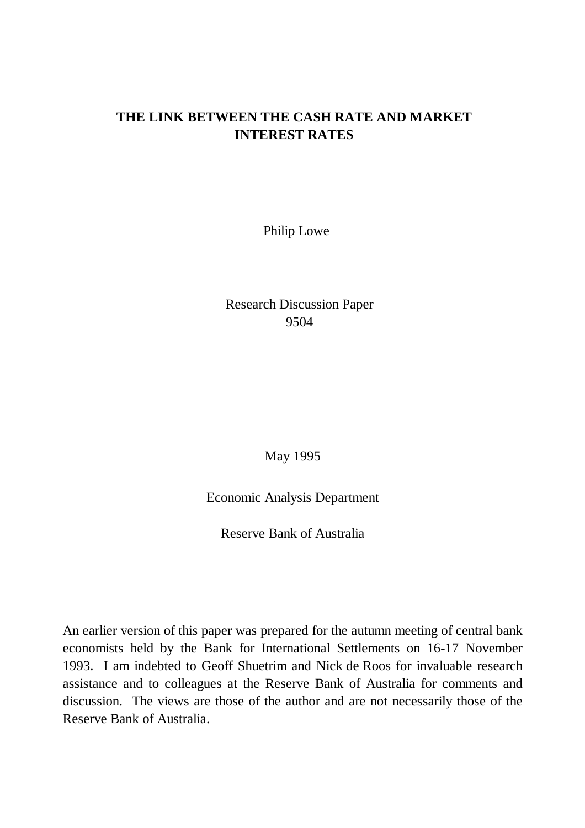## **THE LINK BETWEEN THE CASH RATE AND MARKET INTEREST RATES**

Philip Lowe

Research Discussion Paper 9504

May 1995

Economic Analysis Department

Reserve Bank of Australia

An earlier version of this paper was prepared for the autumn meeting of central bank economists held by the Bank for International Settlements on 16-17 November 1993. I am indebted to Geoff Shuetrim and Nick de Roos for invaluable research assistance and to colleagues at the Reserve Bank of Australia for comments and discussion. The views are those of the author and are not necessarily those of the Reserve Bank of Australia.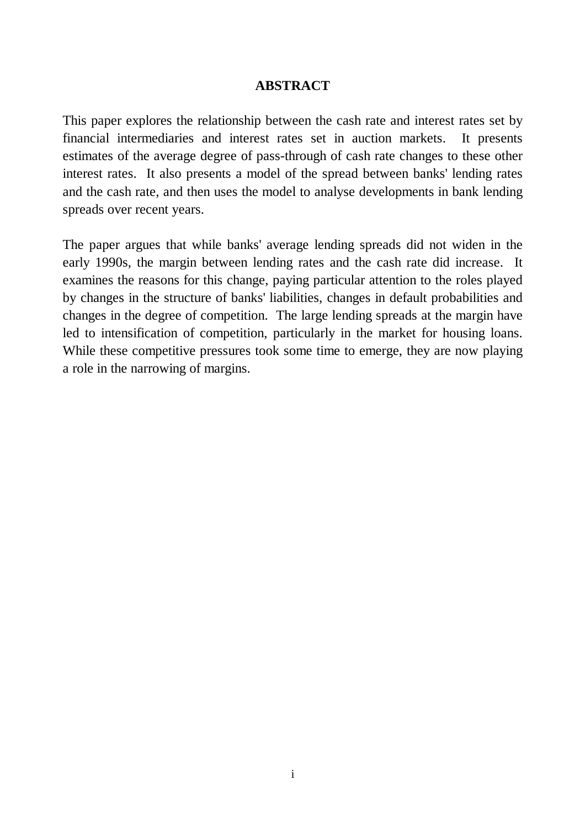### **ABSTRACT**

This paper explores the relationship between the cash rate and interest rates set by financial intermediaries and interest rates set in auction markets. It presents estimates of the average degree of pass-through of cash rate changes to these other interest rates. It also presents a model of the spread between banks' lending rates and the cash rate, and then uses the model to analyse developments in bank lending spreads over recent years.

The paper argues that while banks' average lending spreads did not widen in the early 1990s, the margin between lending rates and the cash rate did increase. It examines the reasons for this change, paying particular attention to the roles played by changes in the structure of banks' liabilities, changes in default probabilities and changes in the degree of competition. The large lending spreads at the margin have led to intensification of competition, particularly in the market for housing loans. While these competitive pressures took some time to emerge, they are now playing a role in the narrowing of margins.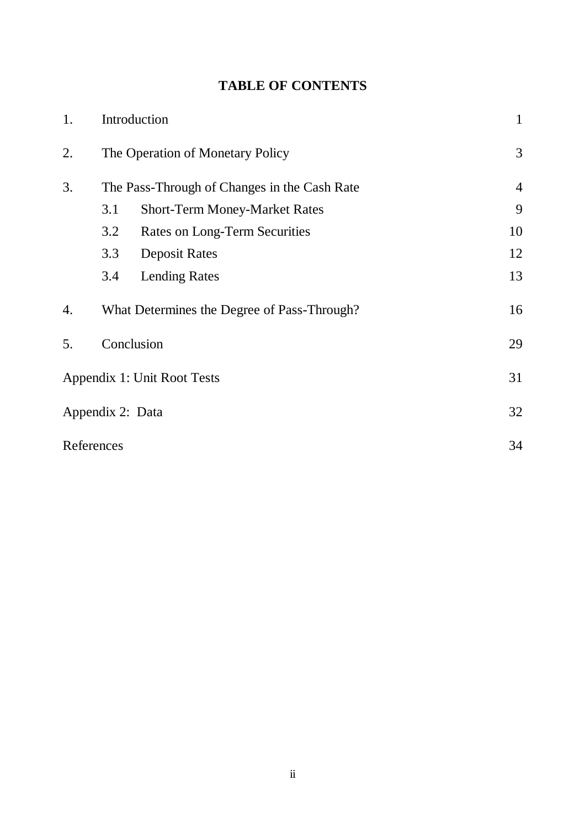# **TABLE OF CONTENTS**

| 1. | Introduction                     |                                              |    |  |  |  |  |
|----|----------------------------------|----------------------------------------------|----|--|--|--|--|
| 2. | The Operation of Monetary Policy | 3                                            |    |  |  |  |  |
| 3. |                                  | The Pass-Through of Changes in the Cash Rate |    |  |  |  |  |
|    | 3.1                              | <b>Short-Term Money-Market Rates</b>         | 9  |  |  |  |  |
|    | 3.2                              | <b>Rates on Long-Term Securities</b>         | 10 |  |  |  |  |
|    | 3.3                              | <b>Deposit Rates</b>                         | 12 |  |  |  |  |
|    | 3.4                              | <b>Lending Rates</b>                         | 13 |  |  |  |  |
| 4. |                                  | What Determines the Degree of Pass-Through?  | 16 |  |  |  |  |
| 5. | Conclusion                       |                                              |    |  |  |  |  |
|    |                                  | Appendix 1: Unit Root Tests                  | 31 |  |  |  |  |
|    | Appendix 2: Data                 |                                              | 32 |  |  |  |  |
|    | References                       |                                              | 34 |  |  |  |  |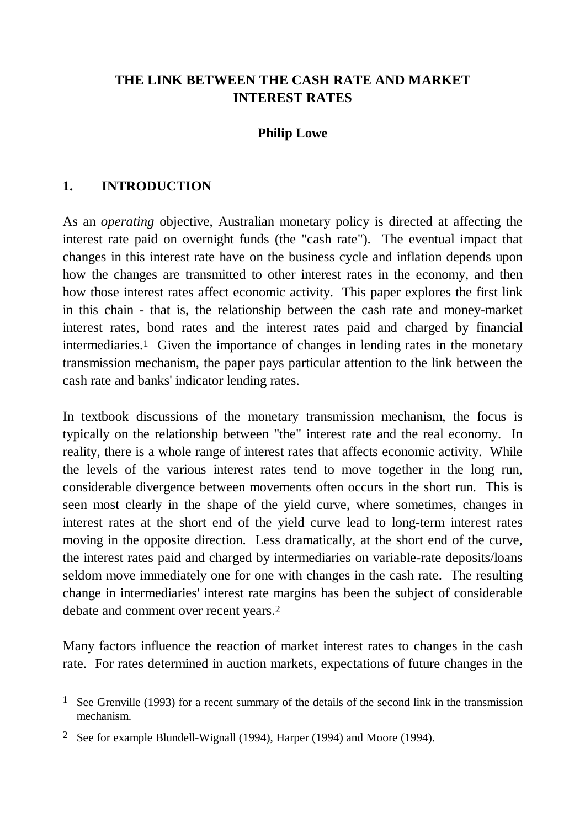## **THE LINK BETWEEN THE CASH RATE AND MARKET INTEREST RATES**

## **Philip Lowe**

## **1. INTRODUCTION**

 $\overline{a}$ 

As an *operating* objective, Australian monetary policy is directed at affecting the interest rate paid on overnight funds (the "cash rate"). The eventual impact that changes in this interest rate have on the business cycle and inflation depends upon how the changes are transmitted to other interest rates in the economy, and then how those interest rates affect economic activity. This paper explores the first link in this chain - that is, the relationship between the cash rate and money-market interest rates, bond rates and the interest rates paid and charged by financial intermediaries.1 Given the importance of changes in lending rates in the monetary transmission mechanism, the paper pays particular attention to the link between the cash rate and banks' indicator lending rates.

In textbook discussions of the monetary transmission mechanism, the focus is typically on the relationship between "the" interest rate and the real economy. In reality, there is a whole range of interest rates that affects economic activity. While the levels of the various interest rates tend to move together in the long run, considerable divergence between movements often occurs in the short run. This is seen most clearly in the shape of the yield curve, where sometimes, changes in interest rates at the short end of the yield curve lead to long-term interest rates moving in the opposite direction. Less dramatically, at the short end of the curve, the interest rates paid and charged by intermediaries on variable-rate deposits/loans seldom move immediately one for one with changes in the cash rate. The resulting change in intermediaries' interest rate margins has been the subject of considerable debate and comment over recent years.2

Many factors influence the reaction of market interest rates to changes in the cash rate. For rates determined in auction markets, expectations of future changes in the

<sup>&</sup>lt;sup>1</sup> See Grenville (1993) for a recent summary of the details of the second link in the transmission mechanism.

<sup>2</sup> See for example Blundell-Wignall (1994), Harper (1994) and Moore (1994).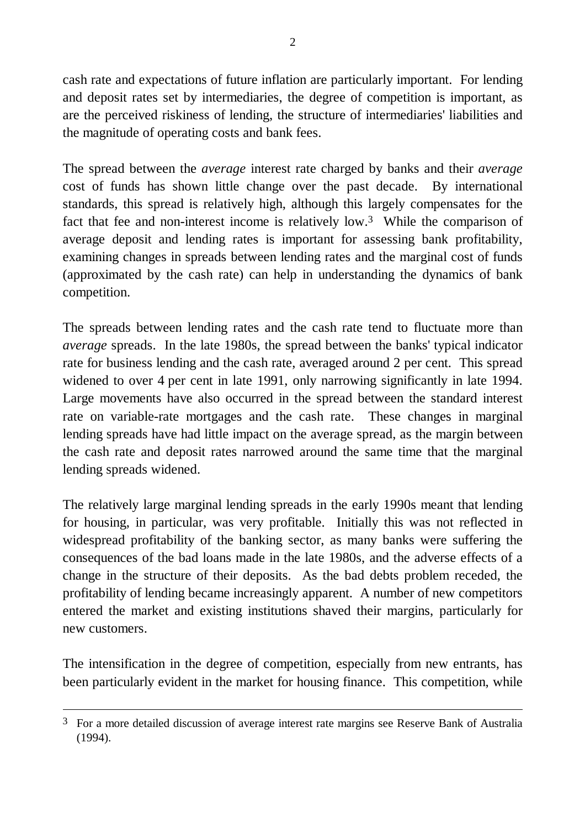cash rate and expectations of future inflation are particularly important. For lending and deposit rates set by intermediaries, the degree of competition is important, as are the perceived riskiness of lending, the structure of intermediaries' liabilities and the magnitude of operating costs and bank fees.

The spread between the *average* interest rate charged by banks and their *average* cost of funds has shown little change over the past decade. By international standards, this spread is relatively high, although this largely compensates for the fact that fee and non-interest income is relatively low.3 While the comparison of average deposit and lending rates is important for assessing bank profitability, examining changes in spreads between lending rates and the marginal cost of funds (approximated by the cash rate) can help in understanding the dynamics of bank competition.

The spreads between lending rates and the cash rate tend to fluctuate more than *average* spreads. In the late 1980s, the spread between the banks' typical indicator rate for business lending and the cash rate, averaged around 2 per cent. This spread widened to over 4 per cent in late 1991, only narrowing significantly in late 1994. Large movements have also occurred in the spread between the standard interest rate on variable-rate mortgages and the cash rate. These changes in marginal lending spreads have had little impact on the average spread, as the margin between the cash rate and deposit rates narrowed around the same time that the marginal lending spreads widened.

The relatively large marginal lending spreads in the early 1990s meant that lending for housing, in particular, was very profitable. Initially this was not reflected in widespread profitability of the banking sector, as many banks were suffering the consequences of the bad loans made in the late 1980s, and the adverse effects of a change in the structure of their deposits. As the bad debts problem receded, the profitability of lending became increasingly apparent. A number of new competitors entered the market and existing institutions shaved their margins, particularly for new customers.

The intensification in the degree of competition, especially from new entrants, has been particularly evident in the market for housing finance. This competition, while

 $\overline{a}$ 

<sup>&</sup>lt;sup>3</sup> For a more detailed discussion of average interest rate margins see Reserve Bank of Australia (1994).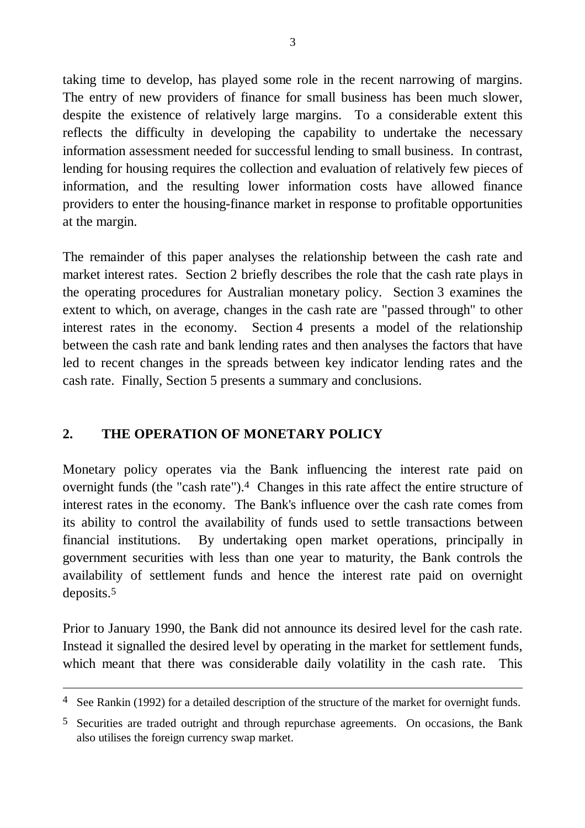taking time to develop, has played some role in the recent narrowing of margins. The entry of new providers of finance for small business has been much slower, despite the existence of relatively large margins. To a considerable extent this reflects the difficulty in developing the capability to undertake the necessary information assessment needed for successful lending to small business. In contrast, lending for housing requires the collection and evaluation of relatively few pieces of information, and the resulting lower information costs have allowed finance providers to enter the housing-finance market in response to profitable opportunities at the margin.

The remainder of this paper analyses the relationship between the cash rate and market interest rates. Section 2 briefly describes the role that the cash rate plays in the operating procedures for Australian monetary policy. Section 3 examines the extent to which, on average, changes in the cash rate are "passed through" to other interest rates in the economy. Section 4 presents a model of the relationship between the cash rate and bank lending rates and then analyses the factors that have led to recent changes in the spreads between key indicator lending rates and the cash rate. Finally, Section 5 presents a summary and conclusions.

## **2. THE OPERATION OF MONETARY POLICY**

 $\overline{a}$ 

Monetary policy operates via the Bank influencing the interest rate paid on overnight funds (the "cash rate").<sup>4</sup> Changes in this rate affect the entire structure of interest rates in the economy. The Bank's influence over the cash rate comes from its ability to control the availability of funds used to settle transactions between financial institutions. By undertaking open market operations, principally in government securities with less than one year to maturity, the Bank controls the availability of settlement funds and hence the interest rate paid on overnight deposits.5

Prior to January 1990, the Bank did not announce its desired level for the cash rate. Instead it signalled the desired level by operating in the market for settlement funds, which meant that there was considerable daily volatility in the cash rate. This

 $4$  See Rankin (1992) for a detailed description of the structure of the market for overnight funds.

<sup>5</sup> Securities are traded outright and through repurchase agreements. On occasions, the Bank also utilises the foreign currency swap market.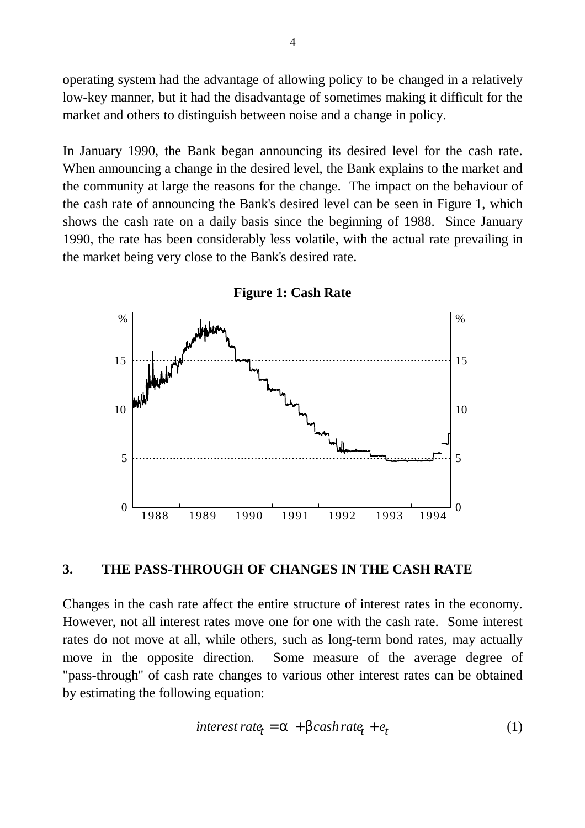operating system had the advantage of allowing policy to be changed in a relatively low-key manner, but it had the disadvantage of sometimes making it difficult for the market and others to distinguish between noise and a change in policy.

In January 1990, the Bank began announcing its desired level for the cash rate. When announcing a change in the desired level, the Bank explains to the market and the community at large the reasons for the change. The impact on the behaviour of the cash rate of announcing the Bank's desired level can be seen in Figure 1, which shows the cash rate on a daily basis since the beginning of 1988. Since January 1990, the rate has been considerably less volatile, with the actual rate prevailing in the market being very close to the Bank's desired rate.



**Figure 1: Cash Rate**

### **3. THE PASS-THROUGH OF CHANGES IN THE CASH RATE**

Changes in the cash rate affect the entire structure of interest rates in the economy. However, not all interest rates move one for one with the cash rate. Some interest rates do not move at all, while others, such as long-term bond rates, may actually move in the opposite direction. Some measure of the average degree of "pass-through" of cash rate changes to various other interest rates can be obtained by estimating the following equation:

$$
interest\ rate_t = \mathbf{a} + \mathbf{b} \cosh \mathbf{r} \t \t \t a \cdot e_t + e_t \tag{1}
$$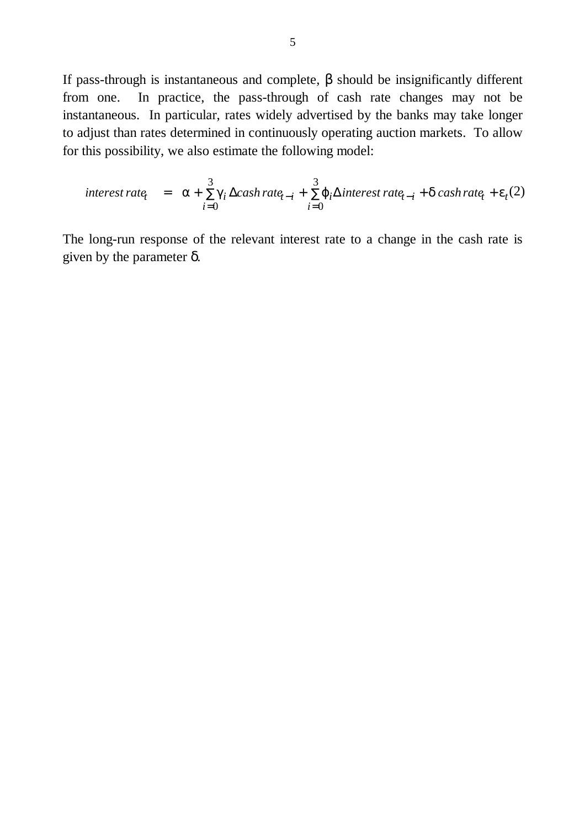If pass-through is instantaneous and complete,  $\beta$  should be insignificantly different from one. In practice, the pass-through of cash rate changes may not be instantaneous. In particular, rates widely advertised by the banks may take longer to adjust than rates determined in continuously operating auction markets. To allow for this possibility, we also estimate the following model:

$$
interest\ rate_{t} = \mathbf{a} + \sum_{i=0}^{3} \mathbf{g} \Delta cash\ rate_{t-i} + \sum_{i=0}^{3} \mathbf{j}_{i} \Delta interest\ rate_{t-i} + \mathbf{d} cash\ rate_{t} + \mathbf{e}_{t}(2)
$$

The long-run response of the relevant interest rate to a change in the cash rate is given by the parameter δ.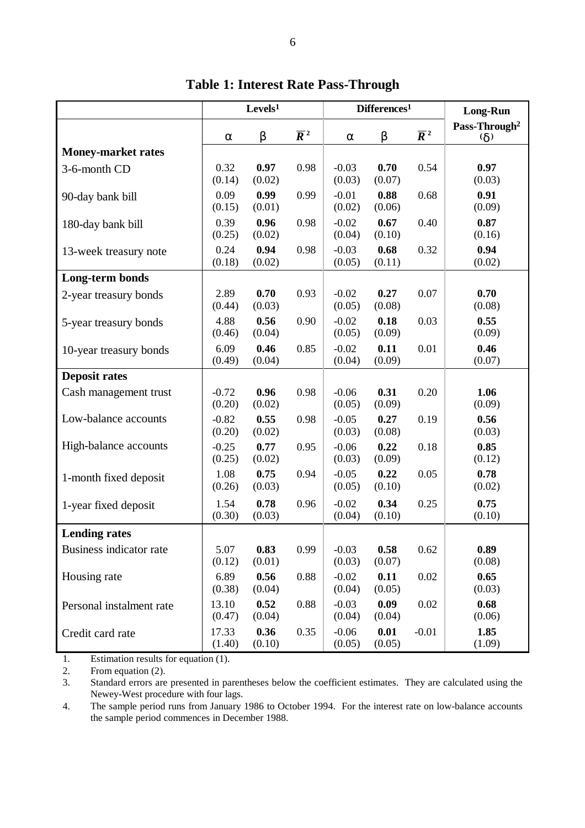|                           | Levels <sup>1</sup> |                |                  | Differences <sup>1</sup> |                |                  | <b>Long-Run</b>                           |
|---------------------------|---------------------|----------------|------------------|--------------------------|----------------|------------------|-------------------------------------------|
|                           | a                   | $\mathbf b$    | $\overline{R}^2$ | a                        | $\mathbf b$    | $\overline{R}^2$ | Pass-Through <sup>2</sup><br>$\mathbf{d}$ |
| <b>Money-market rates</b> |                     |                |                  |                          |                |                  |                                           |
| 3-6-month CD              | 0.32<br>(0.14)      | 0.97<br>(0.02) | 0.98             | $-0.03$<br>(0.03)        | 0.70<br>(0.07) | 0.54             | 0.97<br>(0.03)                            |
| 90-day bank bill          | 0.09<br>(0.15)      | 0.99<br>(0.01) | 0.99             | $-0.01$<br>(0.02)        | 0.88<br>(0.06) | 0.68             | 0.91<br>(0.09)                            |
| 180-day bank bill         | 0.39<br>(0.25)      | 0.96<br>(0.02) | 0.98             | $-0.02$<br>(0.04)        | 0.67<br>(0.10) | 0.40             | 0.87<br>(0.16)                            |
| 13-week treasury note     | 0.24<br>(0.18)      | 0.94<br>(0.02) | 0.98             | $-0.03$<br>(0.05)        | 0.68<br>(0.11) | 0.32             | 0.94<br>(0.02)                            |
| Long-term bonds           |                     |                |                  |                          |                |                  |                                           |
| 2-year treasury bonds     | 2.89<br>(0.44)      | 0.70<br>(0.03) | 0.93             | $-0.02$<br>(0.05)        | 0.27<br>(0.08) | 0.07             | 0.70<br>(0.08)                            |
| 5-year treasury bonds     | 4.88<br>(0.46)      | 0.56<br>(0.04) | 0.90             | $-0.02$<br>(0.05)        | 0.18<br>(0.09) | 0.03             | 0.55<br>(0.09)                            |
| 10-year treasury bonds    | 6.09<br>(0.49)      | 0.46<br>(0.04) | 0.85             | $-0.02$<br>(0.04)        | 0.11<br>(0.09) | 0.01             | 0.46<br>(0.07)                            |
| <b>Deposit rates</b>      |                     |                |                  |                          |                |                  |                                           |
| Cash management trust     | $-0.72$<br>(0.20)   | 0.96<br>(0.02) | 0.98             | $-0.06$<br>(0.05)        | 0.31<br>(0.09) | 0.20             | 1.06<br>(0.09)                            |
| Low-balance accounts      | $-0.82$<br>(0.20)   | 0.55<br>(0.02) | 0.98             | $-0.05$<br>(0.03)        | 0.27<br>(0.08) | 0.19             | 0.56<br>(0.03)                            |
| High-balance accounts     | $-0.25$<br>(0.25)   | 0.77<br>(0.02) | 0.95             | $-0.06$<br>(0.03)        | 0.22<br>(0.09) | 0.18             | 0.85<br>(0.12)                            |
| 1-month fixed deposit     | 1.08<br>(0.26)      | 0.75<br>(0.03) | 0.94             | $-0.05$<br>(0.05)        | 0.22<br>(0.10) | 0.05             | 0.78<br>(0.02)                            |
| 1-year fixed deposit      | 1.54<br>(0.30)      | 0.78<br>(0.03) | 0.96             | $-0.02$<br>(0.04)        | 0.34<br>(0.10) | 0.25             | 0.75<br>(0.10)                            |
| <b>Lending rates</b>      |                     |                |                  |                          |                |                  |                                           |
| Business indicator rate   | 5.07<br>(0.12)      | 0.83<br>(0.01) | 0.99             | $-0.03$<br>(0.03)        | 0.58<br>(0.07) | 0.62             | 0.89<br>(0.08)                            |
| Housing rate              | 6.89<br>(0.38)      | 0.56<br>(0.04) | 0.88             | $-0.02$<br>(0.04)        | 0.11<br>(0.05) | 0.02             | 0.65<br>(0.03)                            |
| Personal instalment rate  | 13.10<br>(0.47)     | 0.52<br>(0.04) | 0.88             | $-0.03$<br>(0.04)        | 0.09<br>(0.04) | 0.02             | 0.68<br>(0.06)                            |
| Credit card rate          | 17.33<br>(1.40)     | 0.36<br>(0.10) | 0.35             | $-0.06$<br>(0.05)        | 0.01<br>(0.05) | $-0.01$          | 1.85<br>(1.09)                            |

**Table 1: Interest Rate Pass-Through**

1. Estimation results for equation (1).

2. From equation (2).

3. Standard errors are presented in parentheses below the coefficient estimates. They are calculated using the Newey-West procedure with four lags.

4. The sample period runs from January 1986 to October 1994. For the interest rate on low-balance accounts the sample period commences in December 1988.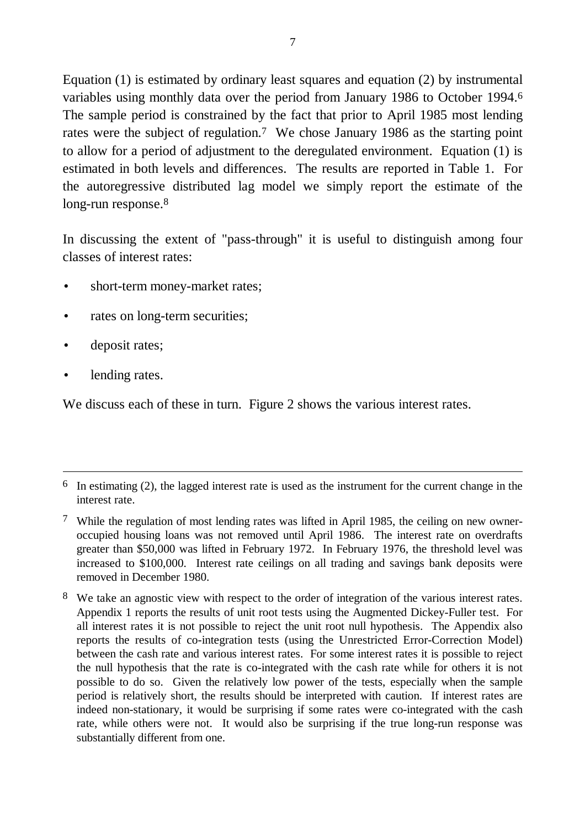Equation (1) is estimated by ordinary least squares and equation (2) by instrumental variables using monthly data over the period from January 1986 to October 1994.6 The sample period is constrained by the fact that prior to April 1985 most lending rates were the subject of regulation.7 We chose January 1986 as the starting point to allow for a period of adjustment to the deregulated environment. Equation (1) is estimated in both levels and differences. The results are reported in Table 1. For the autoregressive distributed lag model we simply report the estimate of the long-run response.<sup>8</sup>

In discussing the extent of "pass-through" it is useful to distinguish among four classes of interest rates:

- short-term money-market rates;
- rates on long-term securities;
- deposit rates;
- lending rates.

 $\overline{a}$ 

We discuss each of these in turn. Figure 2 shows the various interest rates.

 $6\;$  In estimating (2), the lagged interest rate is used as the instrument for the current change in the interest rate.

 $7$  While the regulation of most lending rates was lifted in April 1985, the ceiling on new owneroccupied housing loans was not removed until April 1986. The interest rate on overdrafts greater than \$50,000 was lifted in February 1972. In February 1976, the threshold level was increased to \$100,000. Interest rate ceilings on all trading and savings bank deposits were removed in December 1980.

<sup>&</sup>lt;sup>8</sup> We take an agnostic view with respect to the order of integration of the various interest rates. Appendix 1 reports the results of unit root tests using the Augmented Dickey-Fuller test. For all interest rates it is not possible to reject the unit root null hypothesis. The Appendix also reports the results of co-integration tests (using the Unrestricted Error-Correction Model) between the cash rate and various interest rates. For some interest rates it is possible to reject the null hypothesis that the rate is co-integrated with the cash rate while for others it is not possible to do so. Given the relatively low power of the tests, especially when the sample period is relatively short, the results should be interpreted with caution. If interest rates are indeed non-stationary, it would be surprising if some rates were co-integrated with the cash rate, while others were not. It would also be surprising if the true long-run response was substantially different from one.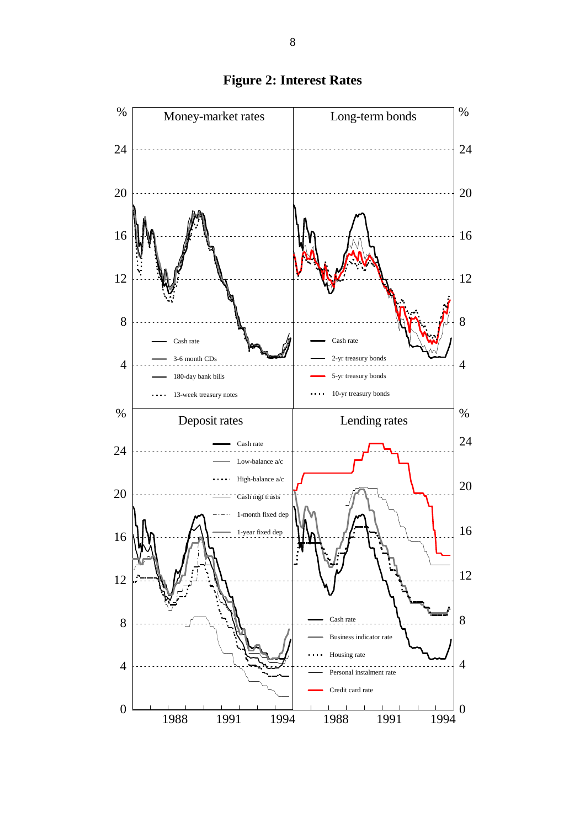

**Figure 2: Interest Rates**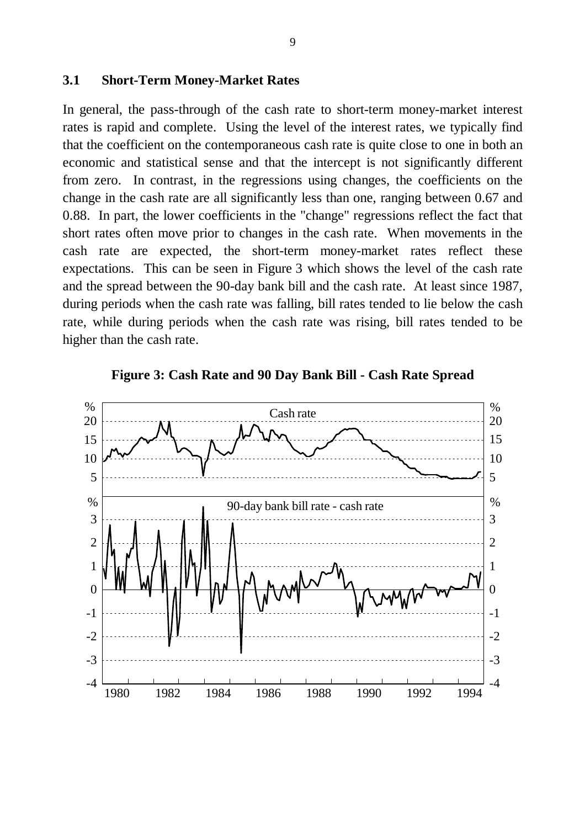#### **3.1 Short-Term Money-Market Rates**

In general, the pass-through of the cash rate to short-term money-market interest rates is rapid and complete. Using the level of the interest rates, we typically find that the coefficient on the contemporaneous cash rate is quite close to one in both an economic and statistical sense and that the intercept is not significantly different from zero. In contrast, in the regressions using changes, the coefficients on the change in the cash rate are all significantly less than one, ranging between 0.67 and 0.88. In part, the lower coefficients in the "change" regressions reflect the fact that short rates often move prior to changes in the cash rate. When movements in the cash rate are expected, the short-term money-market rates reflect these expectations. This can be seen in Figure 3 which shows the level of the cash rate and the spread between the 90-day bank bill and the cash rate. At least since 1987, during periods when the cash rate was falling, bill rates tended to lie below the cash rate, while during periods when the cash rate was rising, bill rates tended to be higher than the cash rate.



**Figure 3: Cash Rate and 90 Day Bank Bill - Cash Rate Spread**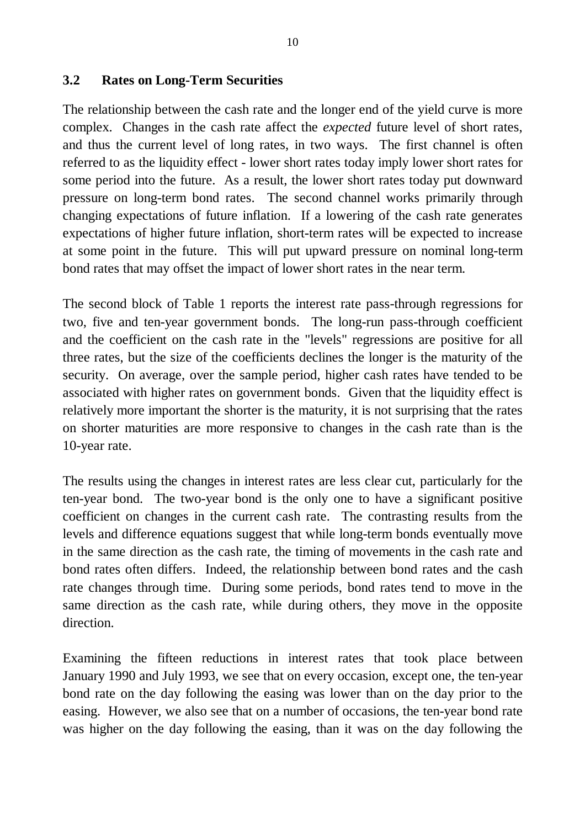### **3.2 Rates on Long-Term Securities**

The relationship between the cash rate and the longer end of the yield curve is more complex. Changes in the cash rate affect the *expected* future level of short rates, and thus the current level of long rates, in two ways. The first channel is often referred to as the liquidity effect - lower short rates today imply lower short rates for some period into the future. As a result, the lower short rates today put downward pressure on long-term bond rates. The second channel works primarily through changing expectations of future inflation. If a lowering of the cash rate generates expectations of higher future inflation, short-term rates will be expected to increase at some point in the future. This will put upward pressure on nominal long-term bond rates that may offset the impact of lower short rates in the near term.

The second block of Table 1 reports the interest rate pass-through regressions for two, five and ten-year government bonds. The long-run pass-through coefficient and the coefficient on the cash rate in the "levels" regressions are positive for all three rates, but the size of the coefficients declines the longer is the maturity of the security. On average, over the sample period, higher cash rates have tended to be associated with higher rates on government bonds. Given that the liquidity effect is relatively more important the shorter is the maturity, it is not surprising that the rates on shorter maturities are more responsive to changes in the cash rate than is the 10-year rate.

The results using the changes in interest rates are less clear cut, particularly for the ten-year bond. The two-year bond is the only one to have a significant positive coefficient on changes in the current cash rate. The contrasting results from the levels and difference equations suggest that while long-term bonds eventually move in the same direction as the cash rate, the timing of movements in the cash rate and bond rates often differs. Indeed, the relationship between bond rates and the cash rate changes through time. During some periods, bond rates tend to move in the same direction as the cash rate, while during others, they move in the opposite direction.

Examining the fifteen reductions in interest rates that took place between January 1990 and July 1993, we see that on every occasion, except one, the ten-year bond rate on the day following the easing was lower than on the day prior to the easing. However, we also see that on a number of occasions, the ten-year bond rate was higher on the day following the easing, than it was on the day following the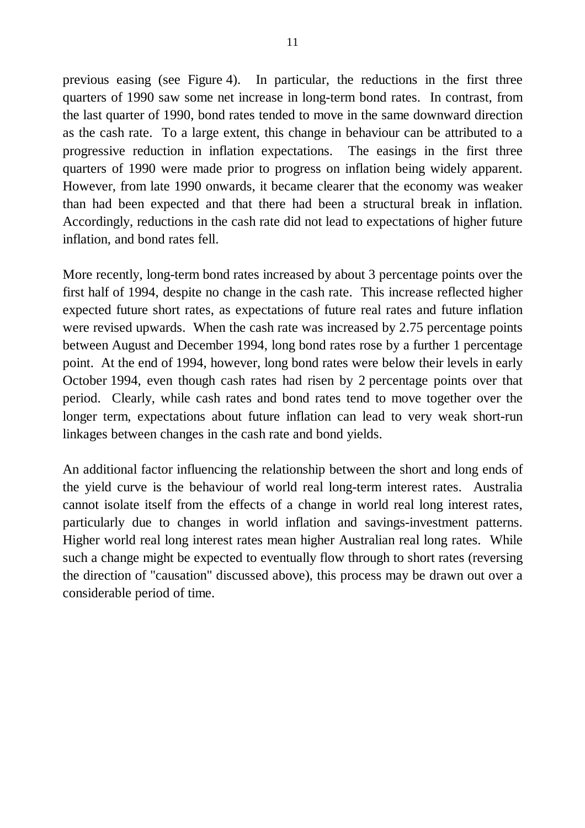previous easing (see Figure 4). In particular, the reductions in the first three quarters of 1990 saw some net increase in long-term bond rates. In contrast, from the last quarter of 1990, bond rates tended to move in the same downward direction as the cash rate. To a large extent, this change in behaviour can be attributed to a progressive reduction in inflation expectations. The easings in the first three quarters of 1990 were made prior to progress on inflation being widely apparent. However, from late 1990 onwards, it became clearer that the economy was weaker than had been expected and that there had been a structural break in inflation. Accordingly, reductions in the cash rate did not lead to expectations of higher future inflation, and bond rates fell.

More recently, long-term bond rates increased by about 3 percentage points over the first half of 1994, despite no change in the cash rate. This increase reflected higher expected future short rates, as expectations of future real rates and future inflation were revised upwards. When the cash rate was increased by 2.75 percentage points between August and December 1994, long bond rates rose by a further 1 percentage point. At the end of 1994, however, long bond rates were below their levels in early October 1994, even though cash rates had risen by 2 percentage points over that period. Clearly, while cash rates and bond rates tend to move together over the longer term, expectations about future inflation can lead to very weak short-run linkages between changes in the cash rate and bond yields.

An additional factor influencing the relationship between the short and long ends of the yield curve is the behaviour of world real long-term interest rates. Australia cannot isolate itself from the effects of a change in world real long interest rates, particularly due to changes in world inflation and savings-investment patterns. Higher world real long interest rates mean higher Australian real long rates. While such a change might be expected to eventually flow through to short rates (reversing the direction of "causation" discussed above), this process may be drawn out over a considerable period of time.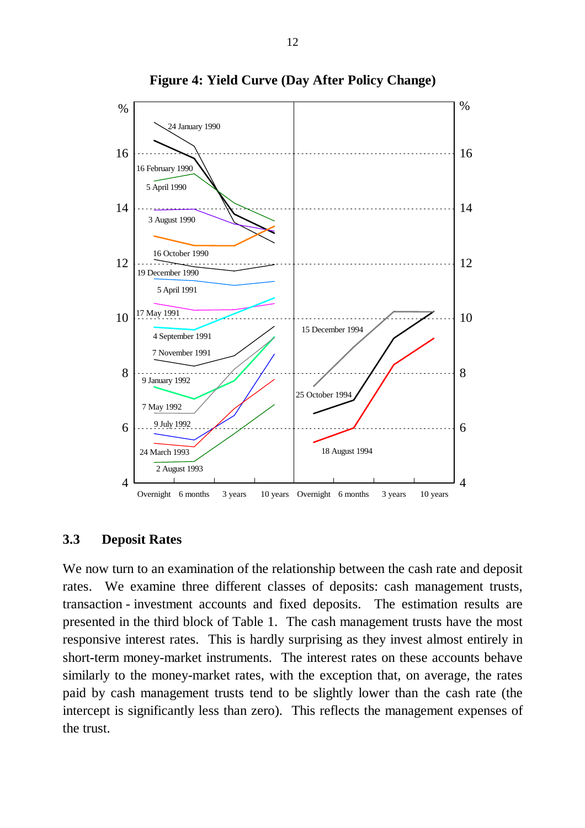

#### **Figure 4: Yield Curve (Day After Policy Change)**

#### **3.3 Deposit Rates**

We now turn to an examination of the relationship between the cash rate and deposit rates. We examine three different classes of deposits: cash management trusts, transaction - investment accounts and fixed deposits. The estimation results are presented in the third block of Table 1. The cash management trusts have the most responsive interest rates. This is hardly surprising as they invest almost entirely in short-term money-market instruments. The interest rates on these accounts behave similarly to the money-market rates, with the exception that, on average, the rates paid by cash management trusts tend to be slightly lower than the cash rate (the intercept is significantly less than zero). This reflects the management expenses of the trust.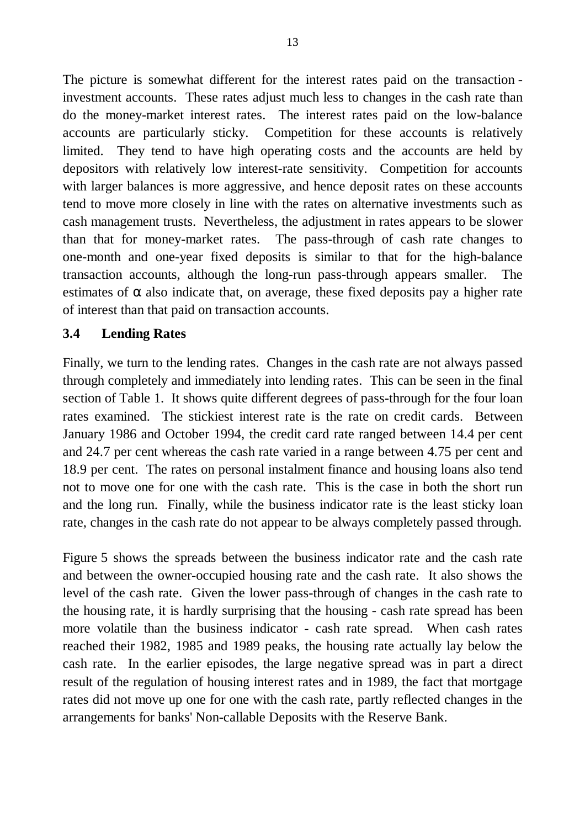The picture is somewhat different for the interest rates paid on the transaction investment accounts. These rates adjust much less to changes in the cash rate than do the money-market interest rates. The interest rates paid on the low-balance accounts are particularly sticky. Competition for these accounts is relatively limited. They tend to have high operating costs and the accounts are held by depositors with relatively low interest-rate sensitivity. Competition for accounts with larger balances is more aggressive, and hence deposit rates on these accounts tend to move more closely in line with the rates on alternative investments such as cash management trusts. Nevertheless, the adjustment in rates appears to be slower than that for money-market rates. The pass-through of cash rate changes to one-month and one-year fixed deposits is similar to that for the high-balance transaction accounts, although the long-run pass-through appears smaller. The estimates of  $\alpha$  also indicate that, on average, these fixed deposits pay a higher rate of interest than that paid on transaction accounts.

## **3.4 Lending Rates**

Finally, we turn to the lending rates. Changes in the cash rate are not always passed through completely and immediately into lending rates. This can be seen in the final section of Table 1. It shows quite different degrees of pass-through for the four loan rates examined. The stickiest interest rate is the rate on credit cards. Between January 1986 and October 1994, the credit card rate ranged between 14.4 per cent and 24.7 per cent whereas the cash rate varied in a range between 4.75 per cent and 18.9 per cent. The rates on personal instalment finance and housing loans also tend not to move one for one with the cash rate. This is the case in both the short run and the long run. Finally, while the business indicator rate is the least sticky loan rate, changes in the cash rate do not appear to be always completely passed through.

Figure 5 shows the spreads between the business indicator rate and the cash rate and between the owner-occupied housing rate and the cash rate. It also shows the level of the cash rate. Given the lower pass-through of changes in the cash rate to the housing rate, it is hardly surprising that the housing - cash rate spread has been more volatile than the business indicator - cash rate spread. When cash rates reached their 1982, 1985 and 1989 peaks, the housing rate actually lay below the cash rate. In the earlier episodes, the large negative spread was in part a direct result of the regulation of housing interest rates and in 1989, the fact that mortgage rates did not move up one for one with the cash rate, partly reflected changes in the arrangements for banks' Non-callable Deposits with the Reserve Bank.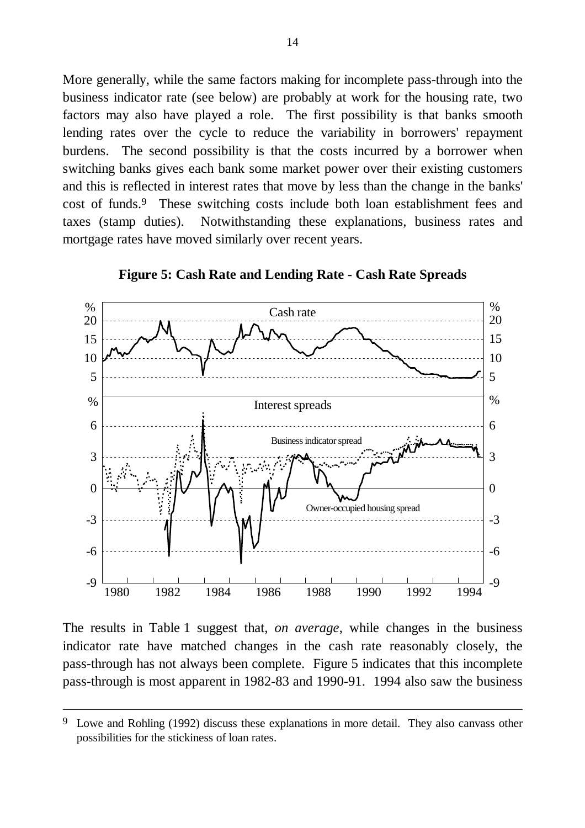More generally, while the same factors making for incomplete pass-through into the business indicator rate (see below) are probably at work for the housing rate, two factors may also have played a role. The first possibility is that banks smooth lending rates over the cycle to reduce the variability in borrowers' repayment burdens. The second possibility is that the costs incurred by a borrower when switching banks gives each bank some market power over their existing customers and this is reflected in interest rates that move by less than the change in the banks' cost of funds.9 These switching costs include both loan establishment fees and taxes (stamp duties). Notwithstanding these explanations, business rates and mortgage rates have moved similarly over recent years.



**Figure 5: Cash Rate and Lending Rate - Cash Rate Spreads**

The results in Table 1 suggest that, *on average*, while changes in the business indicator rate have matched changes in the cash rate reasonably closely, the pass-through has not always been complete. Figure 5 indicates that this incomplete pass-through is most apparent in 1982-83 and 1990-91. 1994 also saw the business

 $\overline{a}$ 

<sup>&</sup>lt;sup>9</sup> Lowe and Rohling (1992) discuss these explanations in more detail. They also canvass other possibilities for the stickiness of loan rates.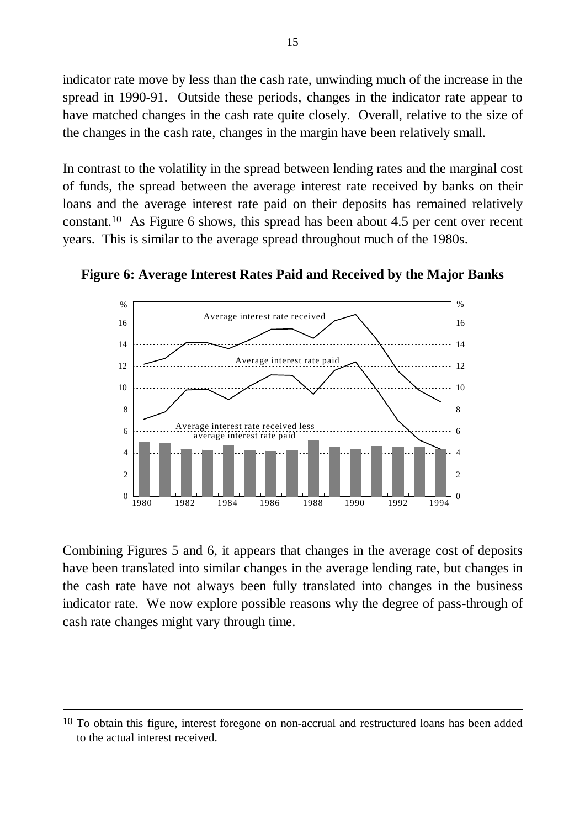indicator rate move by less than the cash rate, unwinding much of the increase in the spread in 1990-91. Outside these periods, changes in the indicator rate appear to have matched changes in the cash rate quite closely. Overall, relative to the size of the changes in the cash rate, changes in the margin have been relatively small.

In contrast to the volatility in the spread between lending rates and the marginal cost of funds, the spread between the average interest rate received by banks on their loans and the average interest rate paid on their deposits has remained relatively constant.10 As Figure 6 shows, this spread has been about 4.5 per cent over recent years. This is similar to the average spread throughout much of the 1980s.



**Figure 6: Average Interest Rates Paid and Received by the Major Banks**

Combining Figures 5 and 6, it appears that changes in the average cost of deposits have been translated into similar changes in the average lending rate, but changes in the cash rate have not always been fully translated into changes in the business indicator rate. We now explore possible reasons why the degree of pass-through of cash rate changes might vary through time.

 $\overline{a}$ 

<sup>&</sup>lt;sup>10</sup> To obtain this figure, interest foregone on non-accrual and restructured loans has been added to the actual interest received.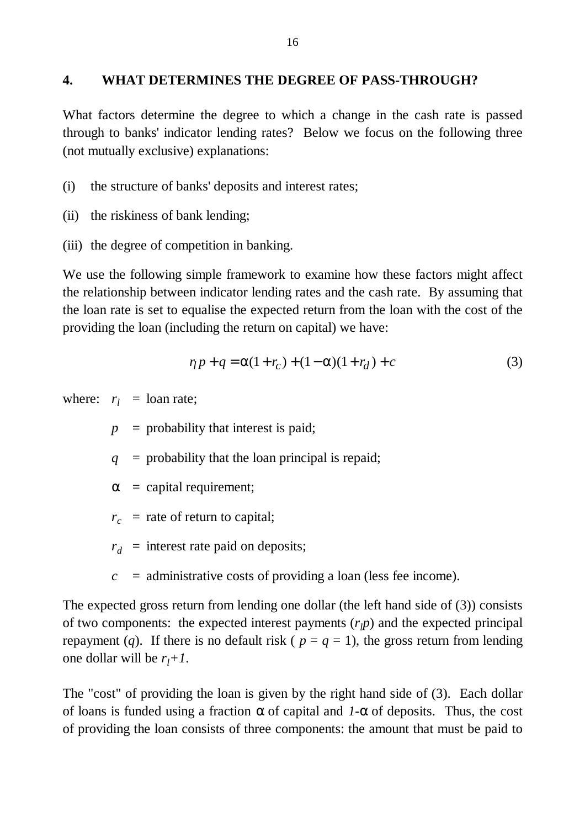### **4. WHAT DETERMINES THE DEGREE OF PASS-THROUGH?**

What factors determine the degree to which a change in the cash rate is passed through to banks' indicator lending rates? Below we focus on the following three (not mutually exclusive) explanations:

(i) the structure of banks' deposits and interest rates;

- (ii) the riskiness of bank lending;
- (iii) the degree of competition in banking.

We use the following simple framework to examine how these factors might affect the relationship between indicator lending rates and the cash rate. By assuming that the loan rate is set to equalise the expected return from the loan with the cost of the providing the loan (including the return on capital) we have:

$$
r_l p + q = a(1 + r_c) + (1 - a)(1 + r_d) + c \tag{3}
$$

where:  $r_l$  = loan rate;

 $p =$  probability that interest is paid;

 $q =$  probability that the loan principal is repaid;

- *a* = capital requirement;
- $r_c$  = rate of return to capital;
- $r_d$  = interest rate paid on deposits;
- $c =$  administrative costs of providing a loan (less fee income).

The expected gross return from lending one dollar (the left hand side of (3)) consists of two components: the expected interest payments  $(r<sub>l</sub>p)$  and the expected principal repayment (*q*). If there is no default risk ( $p = q = 1$ ), the gross return from lending one dollar will be  $r_l + 1$ .

The "cost" of providing the loan is given by the right hand side of (3). Each dollar of loans is funded using a fraction *a* of capital and *1-a* of deposits. Thus, the cost of providing the loan consists of three components: the amount that must be paid to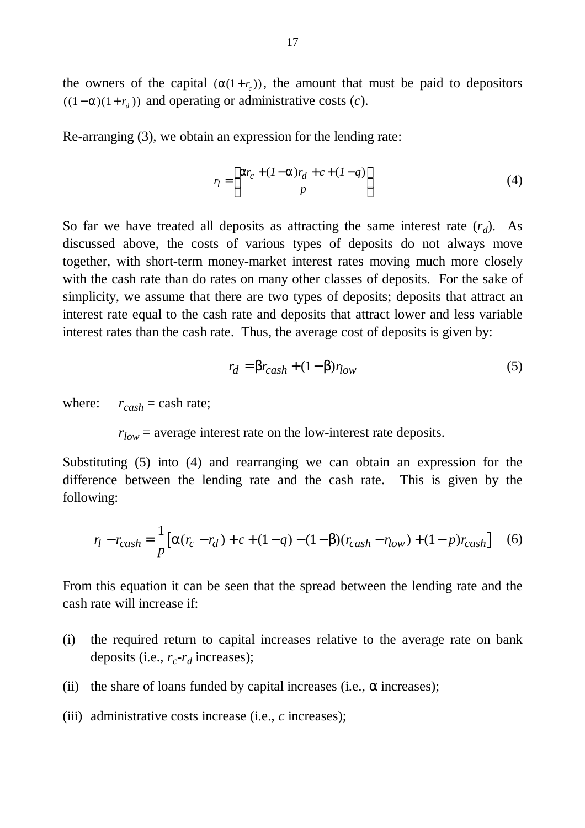the owners of the capital  $(a(1+r_c))$ , the amount that must be paid to depositors  $((1 – **a**)(1 + r<sub>d</sub>))$  and operating or administrative costs (*c*).

Re-arranging (3), we obtain an expression for the lending rate:

$$
r_l = \left[ \frac{\mathbf{a}r_c + (l - \mathbf{a})r_d + c + (l - q)}{p} \right]
$$
 (4)

So far we have treated all deposits as attracting the same interest rate  $(r_d)$ . As discussed above, the costs of various types of deposits do not always move together, with short-term money-market interest rates moving much more closely with the cash rate than do rates on many other classes of deposits. For the sake of simplicity, we assume that there are two types of deposits; deposits that attract an interest rate equal to the cash rate and deposits that attract lower and less variable interest rates than the cash rate. Thus, the average cost of deposits is given by:

$$
r_d = \mathbf{b}r_{cash} + (1 - \mathbf{b})r_{low}
$$
 (5)

where:  $r_{cash} =$  cash rate;

 $r_{low}$  = average interest rate on the low-interest rate deposits.

Substituting (5) into (4) and rearranging we can obtain an expression for the difference between the lending rate and the cash rate. This is given by the following:

$$
\eta - r_{cash} = \frac{1}{p} \Big[ a(r_c - r_d) + c + (1 - q) - (1 - b)(r_{cash} - r_{low}) + (1 - p)r_{cash} \Big] \tag{6}
$$

From this equation it can be seen that the spread between the lending rate and the cash rate will increase if:

- (i) the required return to capital increases relative to the average rate on bank deposits (i.e.,  $r_c$ - $r_d$  increases);
- (ii) the share of loans funded by capital increases (i.e.,  $\alpha$  increases);
- (iii) administrative costs increase (i.e., *c* increases);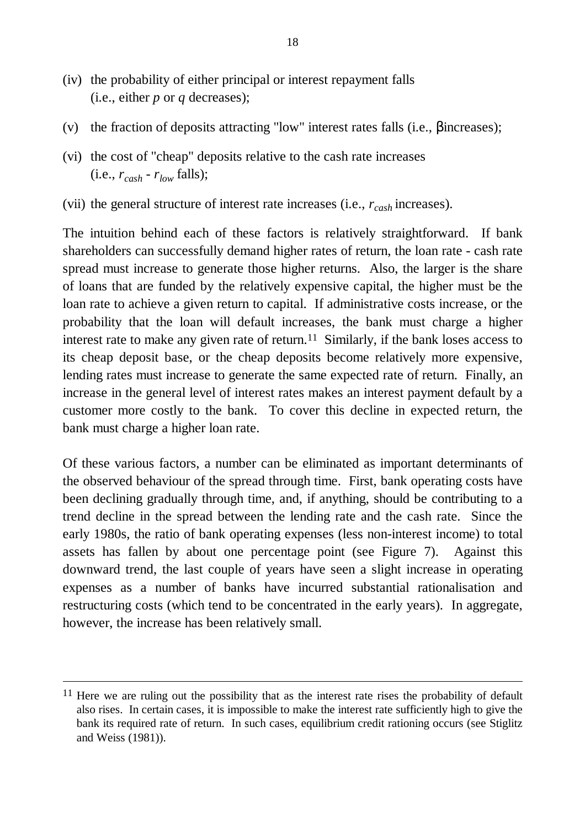- (iv) the probability of either principal or interest repayment falls (i.e., either *p* or *q* decreases);
- (v) the fraction of deposits attracting "low" interest rates falls (i.e., *b*increases);
- (vi) the cost of "cheap" deposits relative to the cash rate increases  $(i.e., r_{cash} - r_{low}$  falls);
- (vii) the general structure of interest rate increases (i.e., *rcash* increases).

The intuition behind each of these factors is relatively straightforward. If bank shareholders can successfully demand higher rates of return, the loan rate - cash rate spread must increase to generate those higher returns. Also, the larger is the share of loans that are funded by the relatively expensive capital, the higher must be the loan rate to achieve a given return to capital. If administrative costs increase, or the probability that the loan will default increases, the bank must charge a higher interest rate to make any given rate of return.<sup>11</sup> Similarly, if the bank loses access to its cheap deposit base, or the cheap deposits become relatively more expensive, lending rates must increase to generate the same expected rate of return. Finally, an increase in the general level of interest rates makes an interest payment default by a customer more costly to the bank. To cover this decline in expected return, the bank must charge a higher loan rate.

Of these various factors, a number can be eliminated as important determinants of the observed behaviour of the spread through time. First, bank operating costs have been declining gradually through time, and, if anything, should be contributing to a trend decline in the spread between the lending rate and the cash rate. Since the early 1980s, the ratio of bank operating expenses (less non-interest income) to total assets has fallen by about one percentage point (see Figure 7). Against this downward trend, the last couple of years have seen a slight increase in operating expenses as a number of banks have incurred substantial rationalisation and restructuring costs (which tend to be concentrated in the early years). In aggregate, however, the increase has been relatively small.

 $\overline{a}$ 

<sup>&</sup>lt;sup>11</sup> Here we are ruling out the possibility that as the interest rate rises the probability of default also rises. In certain cases, it is impossible to make the interest rate sufficiently high to give the bank its required rate of return. In such cases, equilibrium credit rationing occurs (see Stiglitz and Weiss (1981)).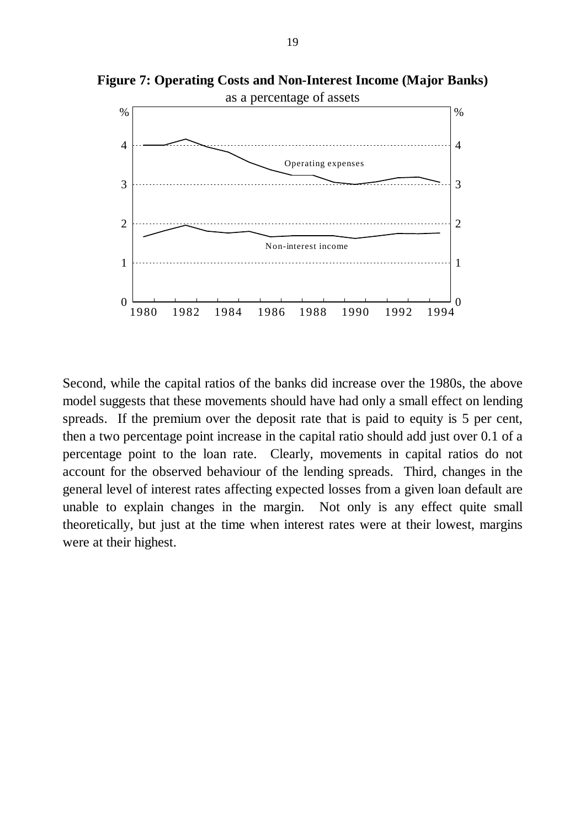**Figure 7: Operating Costs and Non-Interest Income (Major Banks)**



Second, while the capital ratios of the banks did increase over the 1980s, the above model suggests that these movements should have had only a small effect on lending spreads. If the premium over the deposit rate that is paid to equity is 5 per cent, then a two percentage point increase in the capital ratio should add just over 0.1 of a percentage point to the loan rate. Clearly, movements in capital ratios do not account for the observed behaviour of the lending spreads. Third, changes in the general level of interest rates affecting expected losses from a given loan default are unable to explain changes in the margin. Not only is any effect quite small theoretically, but just at the time when interest rates were at their lowest, margins were at their highest.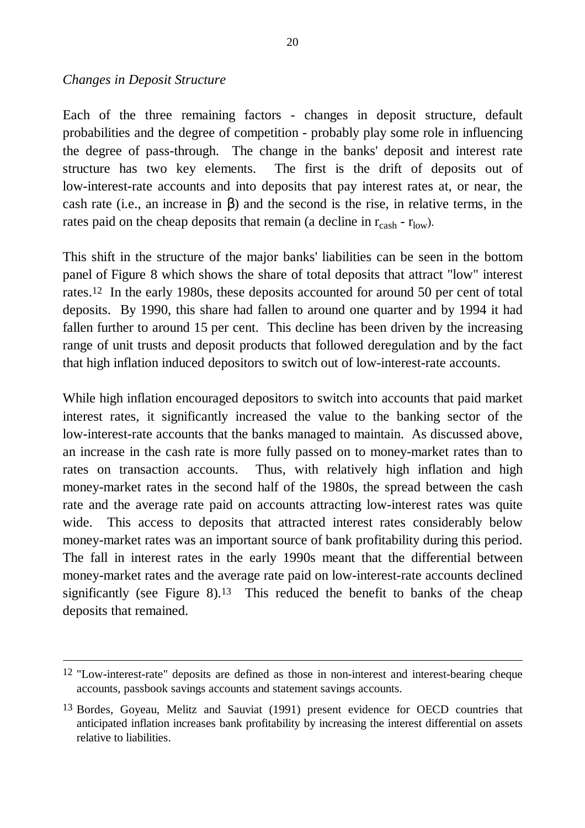#### *Changes in Deposit Structure*

 $\overline{a}$ 

Each of the three remaining factors - changes in deposit structure, default probabilities and the degree of competition - probably play some role in influencing the degree of pass-through. The change in the banks' deposit and interest rate structure has two key elements. The first is the drift of deposits out of low-interest-rate accounts and into deposits that pay interest rates at, or near, the cash rate (i.e., an increase in β) and the second is the rise, in relative terms, in the rates paid on the cheap deposits that remain (a decline in  $r_{\text{cash}}$  -  $r_{\text{low}}$ ).

This shift in the structure of the major banks' liabilities can be seen in the bottom panel of Figure 8 which shows the share of total deposits that attract "low" interest rates.12 In the early 1980s, these deposits accounted for around 50 per cent of total deposits. By 1990, this share had fallen to around one quarter and by 1994 it had fallen further to around 15 per cent. This decline has been driven by the increasing range of unit trusts and deposit products that followed deregulation and by the fact that high inflation induced depositors to switch out of low-interest-rate accounts.

While high inflation encouraged depositors to switch into accounts that paid market interest rates, it significantly increased the value to the banking sector of the low-interest-rate accounts that the banks managed to maintain. As discussed above, an increase in the cash rate is more fully passed on to money-market rates than to rates on transaction accounts. Thus, with relatively high inflation and high money-market rates in the second half of the 1980s, the spread between the cash rate and the average rate paid on accounts attracting low-interest rates was quite wide. This access to deposits that attracted interest rates considerably below money-market rates was an important source of bank profitability during this period. The fall in interest rates in the early 1990s meant that the differential between money-market rates and the average rate paid on low-interest-rate accounts declined significantly (see Figure 8).<sup>13</sup> This reduced the benefit to banks of the cheap deposits that remained.

<sup>12</sup> "Low-interest-rate" deposits are defined as those in non-interest and interest-bearing cheque accounts, passbook savings accounts and statement savings accounts.

<sup>13</sup> Bordes, Goyeau, Melitz and Sauviat (1991) present evidence for OECD countries that anticipated inflation increases bank profitability by increasing the interest differential on assets relative to liabilities.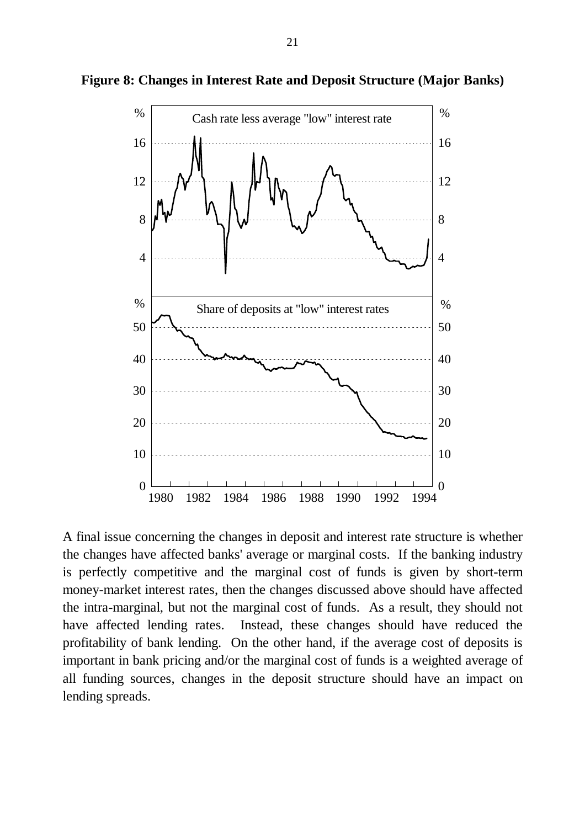

**Figure 8: Changes in Interest Rate and Deposit Structure (Major Banks)**

A final issue concerning the changes in deposit and interest rate structure is whether the changes have affected banks' average or marginal costs. If the banking industry is perfectly competitive and the marginal cost of funds is given by short-term money-market interest rates, then the changes discussed above should have affected the intra-marginal, but not the marginal cost of funds. As a result, they should not have affected lending rates. Instead, these changes should have reduced the profitability of bank lending. On the other hand, if the average cost of deposits is important in bank pricing and/or the marginal cost of funds is a weighted average of all funding sources, changes in the deposit structure should have an impact on lending spreads.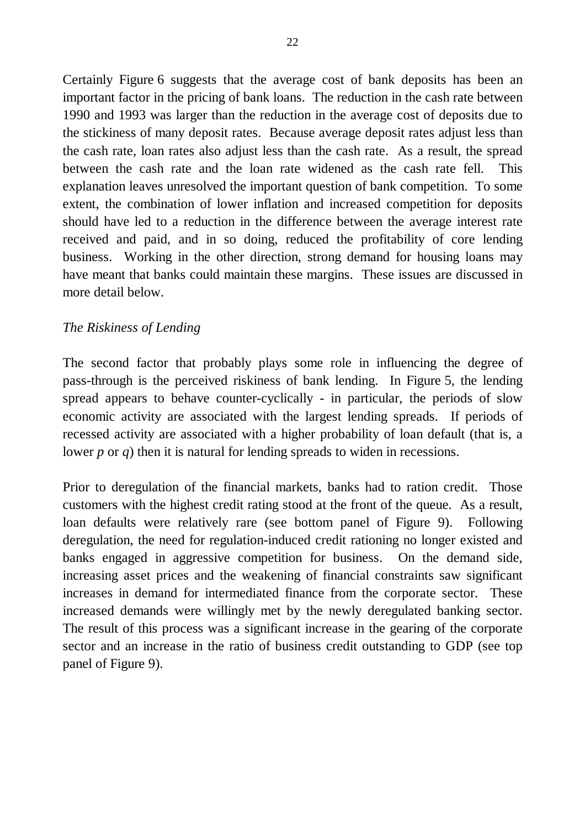Certainly Figure 6 suggests that the average cost of bank deposits has been an important factor in the pricing of bank loans. The reduction in the cash rate between 1990 and 1993 was larger than the reduction in the average cost of deposits due to the stickiness of many deposit rates. Because average deposit rates adjust less than the cash rate, loan rates also adjust less than the cash rate. As a result, the spread between the cash rate and the loan rate widened as the cash rate fell. This explanation leaves unresolved the important question of bank competition. To some extent, the combination of lower inflation and increased competition for deposits should have led to a reduction in the difference between the average interest rate received and paid, and in so doing, reduced the profitability of core lending business. Working in the other direction, strong demand for housing loans may have meant that banks could maintain these margins. These issues are discussed in more detail below.

### *The Riskiness of Lending*

The second factor that probably plays some role in influencing the degree of pass-through is the perceived riskiness of bank lending. In Figure 5, the lending spread appears to behave counter-cyclically - in particular, the periods of slow economic activity are associated with the largest lending spreads. If periods of recessed activity are associated with a higher probability of loan default (that is, a lower *p* or *q*) then it is natural for lending spreads to widen in recessions.

Prior to deregulation of the financial markets, banks had to ration credit. Those customers with the highest credit rating stood at the front of the queue. As a result, loan defaults were relatively rare (see bottom panel of Figure 9). Following deregulation, the need for regulation-induced credit rationing no longer existed and banks engaged in aggressive competition for business. On the demand side, increasing asset prices and the weakening of financial constraints saw significant increases in demand for intermediated finance from the corporate sector. These increased demands were willingly met by the newly deregulated banking sector. The result of this process was a significant increase in the gearing of the corporate sector and an increase in the ratio of business credit outstanding to GDP (see top panel of Figure 9).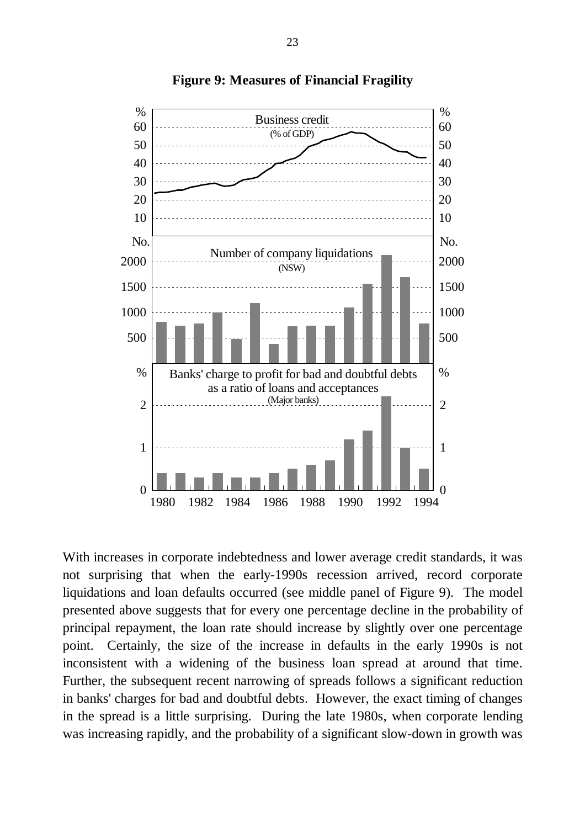

**Figure 9: Measures of Financial Fragility**

With increases in corporate indebtedness and lower average credit standards, it was not surprising that when the early-1990s recession arrived, record corporate liquidations and loan defaults occurred (see middle panel of Figure 9). The model presented above suggests that for every one percentage decline in the probability of principal repayment, the loan rate should increase by slightly over one percentage point. Certainly, the size of the increase in defaults in the early 1990s is not inconsistent with a widening of the business loan spread at around that time. Further, the subsequent recent narrowing of spreads follows a significant reduction in banks' charges for bad and doubtful debts. However, the exact timing of changes in the spread is a little surprising. During the late 1980s, when corporate lending was increasing rapidly, and the probability of a significant slow-down in growth was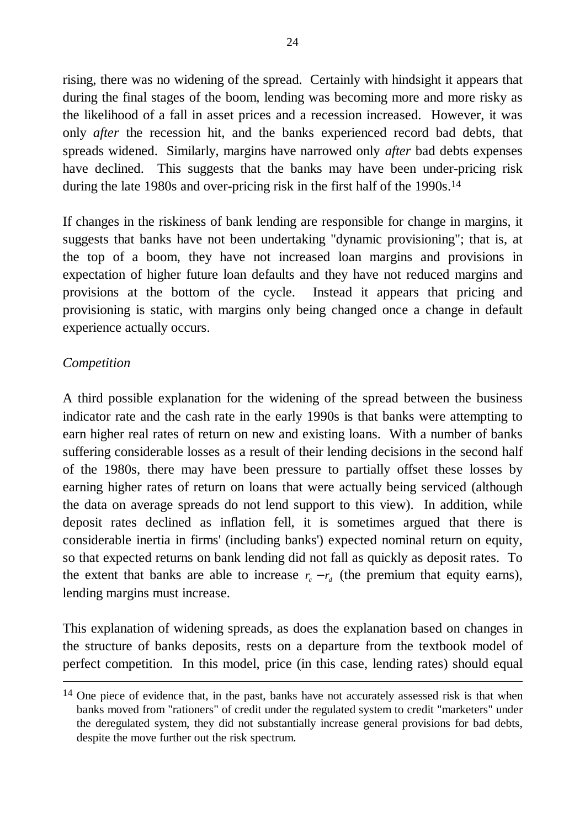rising, there was no widening of the spread. Certainly with hindsight it appears that during the final stages of the boom, lending was becoming more and more risky as the likelihood of a fall in asset prices and a recession increased. However, it was only *after* the recession hit, and the banks experienced record bad debts, that spreads widened. Similarly, margins have narrowed only *after* bad debts expenses have declined. This suggests that the banks may have been under-pricing risk during the late 1980s and over-pricing risk in the first half of the 1990s.<sup>14</sup>

If changes in the riskiness of bank lending are responsible for change in margins, it suggests that banks have not been undertaking "dynamic provisioning"; that is, at the top of a boom, they have not increased loan margins and provisions in expectation of higher future loan defaults and they have not reduced margins and provisions at the bottom of the cycle. Instead it appears that pricing and provisioning is static, with margins only being changed once a change in default experience actually occurs.

### *Competition*

 $\overline{a}$ 

A third possible explanation for the widening of the spread between the business indicator rate and the cash rate in the early 1990s is that banks were attempting to earn higher real rates of return on new and existing loans. With a number of banks suffering considerable losses as a result of their lending decisions in the second half of the 1980s, there may have been pressure to partially offset these losses by earning higher rates of return on loans that were actually being serviced (although the data on average spreads do not lend support to this view). In addition, while deposit rates declined as inflation fell, it is sometimes argued that there is considerable inertia in firms' (including banks') expected nominal return on equity, so that expected returns on bank lending did not fall as quickly as deposit rates. To the extent that banks are able to increase  $r_c - r_d$  (the premium that equity earns), lending margins must increase.

This explanation of widening spreads, as does the explanation based on changes in the structure of banks deposits, rests on a departure from the textbook model of perfect competition. In this model, price (in this case, lending rates) should equal

<sup>&</sup>lt;sup>14</sup> One piece of evidence that, in the past, banks have not accurately assessed risk is that when banks moved from "rationers" of credit under the regulated system to credit "marketers" under the deregulated system, they did not substantially increase general provisions for bad debts, despite the move further out the risk spectrum.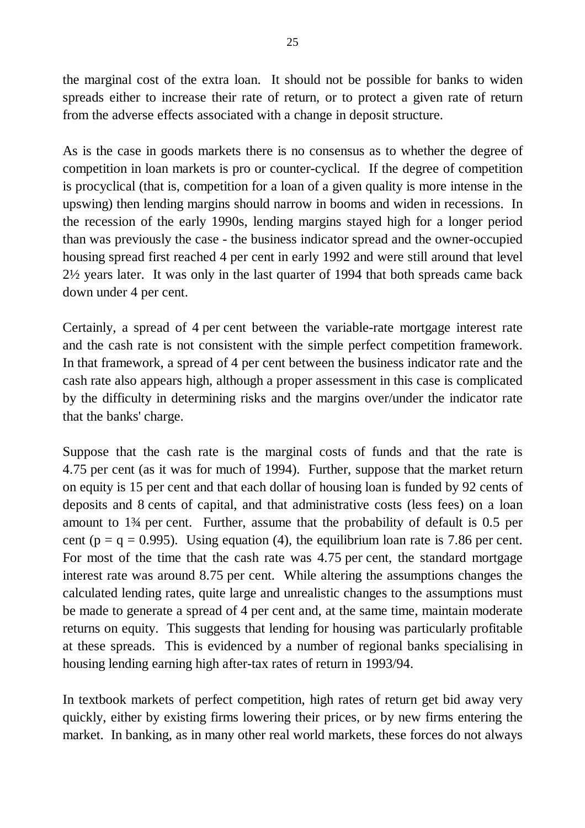the marginal cost of the extra loan. It should not be possible for banks to widen spreads either to increase their rate of return, or to protect a given rate of return from the adverse effects associated with a change in deposit structure.

As is the case in goods markets there is no consensus as to whether the degree of competition in loan markets is pro or counter-cyclical. If the degree of competition is procyclical (that is, competition for a loan of a given quality is more intense in the upswing) then lending margins should narrow in booms and widen in recessions. In the recession of the early 1990s, lending margins stayed high for a longer period than was previously the case - the business indicator spread and the owner-occupied housing spread first reached 4 per cent in early 1992 and were still around that level 2½ years later. It was only in the last quarter of 1994 that both spreads came back down under 4 per cent.

Certainly, a spread of 4 per cent between the variable-rate mortgage interest rate and the cash rate is not consistent with the simple perfect competition framework. In that framework, a spread of 4 per cent between the business indicator rate and the cash rate also appears high, although a proper assessment in this case is complicated by the difficulty in determining risks and the margins over/under the indicator rate that the banks' charge.

Suppose that the cash rate is the marginal costs of funds and that the rate is 4.75 per cent (as it was for much of 1994). Further, suppose that the market return on equity is 15 per cent and that each dollar of housing loan is funded by 92 cents of deposits and 8 cents of capital, and that administrative costs (less fees) on a loan amount to 1¾ per cent. Further, assume that the probability of default is 0.5 per cent ( $p = q = 0.995$ ). Using equation (4), the equilibrium loan rate is 7.86 per cent. For most of the time that the cash rate was 4.75 per cent, the standard mortgage interest rate was around 8.75 per cent. While altering the assumptions changes the calculated lending rates, quite large and unrealistic changes to the assumptions must be made to generate a spread of 4 per cent and, at the same time, maintain moderate returns on equity. This suggests that lending for housing was particularly profitable at these spreads. This is evidenced by a number of regional banks specialising in housing lending earning high after-tax rates of return in 1993/94.

In textbook markets of perfect competition, high rates of return get bid away very quickly, either by existing firms lowering their prices, or by new firms entering the market. In banking, as in many other real world markets, these forces do not always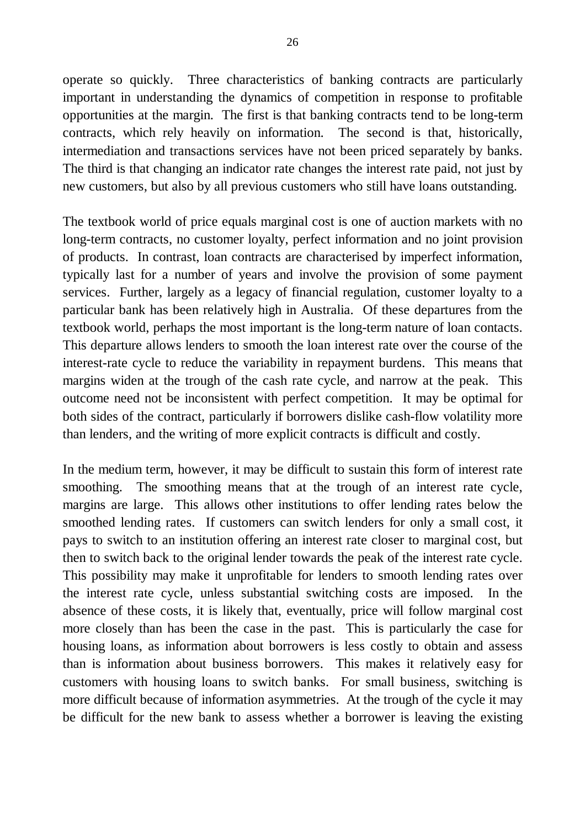operate so quickly. Three characteristics of banking contracts are particularly important in understanding the dynamics of competition in response to profitable opportunities at the margin. The first is that banking contracts tend to be long-term contracts, which rely heavily on information. The second is that, historically, intermediation and transactions services have not been priced separately by banks. The third is that changing an indicator rate changes the interest rate paid, not just by new customers, but also by all previous customers who still have loans outstanding.

The textbook world of price equals marginal cost is one of auction markets with no long-term contracts, no customer loyalty, perfect information and no joint provision of products. In contrast, loan contracts are characterised by imperfect information, typically last for a number of years and involve the provision of some payment services. Further, largely as a legacy of financial regulation, customer loyalty to a particular bank has been relatively high in Australia. Of these departures from the textbook world, perhaps the most important is the long-term nature of loan contacts. This departure allows lenders to smooth the loan interest rate over the course of the interest-rate cycle to reduce the variability in repayment burdens. This means that margins widen at the trough of the cash rate cycle, and narrow at the peak. This outcome need not be inconsistent with perfect competition. It may be optimal for both sides of the contract, particularly if borrowers dislike cash-flow volatility more than lenders, and the writing of more explicit contracts is difficult and costly.

In the medium term, however, it may be difficult to sustain this form of interest rate smoothing. The smoothing means that at the trough of an interest rate cycle, margins are large. This allows other institutions to offer lending rates below the smoothed lending rates. If customers can switch lenders for only a small cost, it pays to switch to an institution offering an interest rate closer to marginal cost, but then to switch back to the original lender towards the peak of the interest rate cycle. This possibility may make it unprofitable for lenders to smooth lending rates over the interest rate cycle, unless substantial switching costs are imposed. In the absence of these costs, it is likely that, eventually, price will follow marginal cost more closely than has been the case in the past. This is particularly the case for housing loans, as information about borrowers is less costly to obtain and assess than is information about business borrowers. This makes it relatively easy for customers with housing loans to switch banks. For small business, switching is more difficult because of information asymmetries. At the trough of the cycle it may be difficult for the new bank to assess whether a borrower is leaving the existing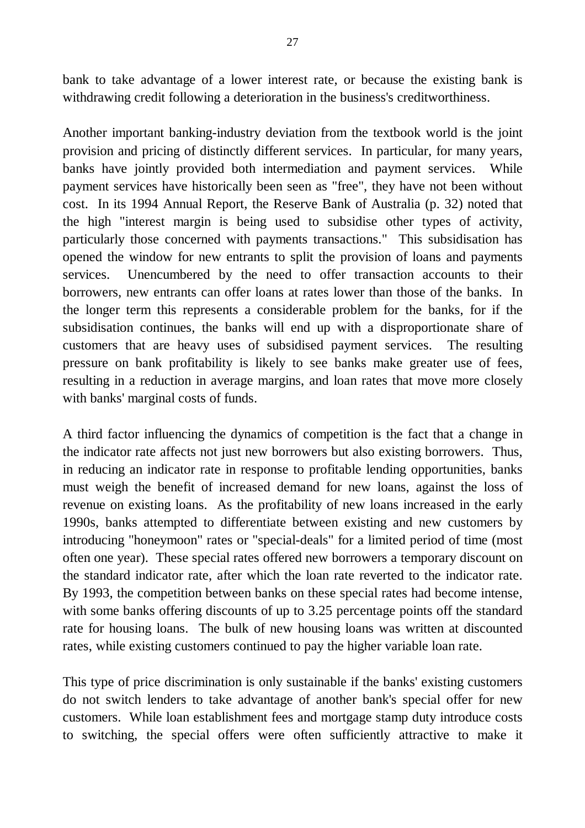bank to take advantage of a lower interest rate, or because the existing bank is withdrawing credit following a deterioration in the business's creditworthiness.

Another important banking-industry deviation from the textbook world is the joint provision and pricing of distinctly different services. In particular, for many years, banks have jointly provided both intermediation and payment services. While payment services have historically been seen as "free", they have not been without cost. In its 1994 Annual Report, the Reserve Bank of Australia (p. 32) noted that the high "interest margin is being used to subsidise other types of activity, particularly those concerned with payments transactions." This subsidisation has opened the window for new entrants to split the provision of loans and payments services. Unencumbered by the need to offer transaction accounts to their borrowers, new entrants can offer loans at rates lower than those of the banks. In the longer term this represents a considerable problem for the banks, for if the subsidisation continues, the banks will end up with a disproportionate share of customers that are heavy uses of subsidised payment services. The resulting pressure on bank profitability is likely to see banks make greater use of fees, resulting in a reduction in average margins, and loan rates that move more closely with banks' marginal costs of funds.

A third factor influencing the dynamics of competition is the fact that a change in the indicator rate affects not just new borrowers but also existing borrowers. Thus, in reducing an indicator rate in response to profitable lending opportunities, banks must weigh the benefit of increased demand for new loans, against the loss of revenue on existing loans. As the profitability of new loans increased in the early 1990s, banks attempted to differentiate between existing and new customers by introducing "honeymoon" rates or "special-deals" for a limited period of time (most often one year). These special rates offered new borrowers a temporary discount on the standard indicator rate, after which the loan rate reverted to the indicator rate. By 1993, the competition between banks on these special rates had become intense, with some banks offering discounts of up to 3.25 percentage points off the standard rate for housing loans. The bulk of new housing loans was written at discounted rates, while existing customers continued to pay the higher variable loan rate.

This type of price discrimination is only sustainable if the banks' existing customers do not switch lenders to take advantage of another bank's special offer for new customers. While loan establishment fees and mortgage stamp duty introduce costs to switching, the special offers were often sufficiently attractive to make it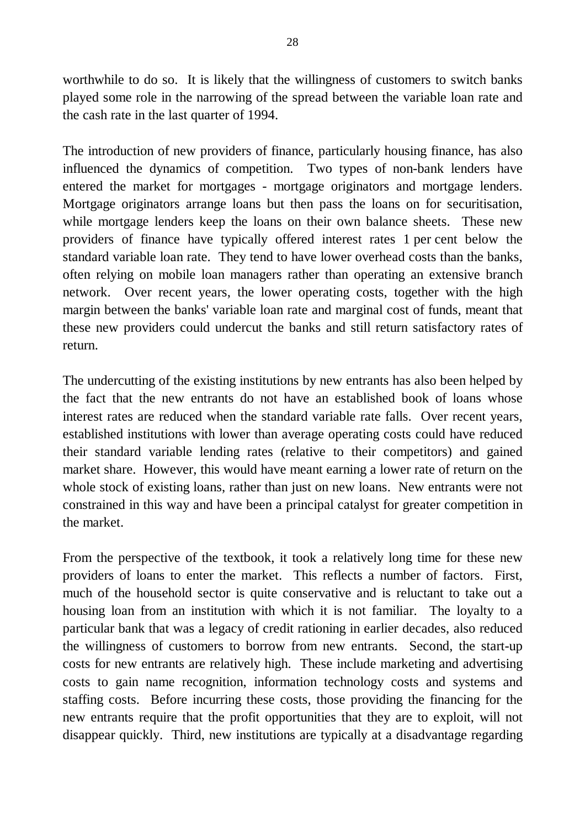worthwhile to do so. It is likely that the willingness of customers to switch banks played some role in the narrowing of the spread between the variable loan rate and the cash rate in the last quarter of 1994.

The introduction of new providers of finance, particularly housing finance, has also influenced the dynamics of competition. Two types of non-bank lenders have entered the market for mortgages - mortgage originators and mortgage lenders. Mortgage originators arrange loans but then pass the loans on for securitisation, while mortgage lenders keep the loans on their own balance sheets. These new providers of finance have typically offered interest rates 1 per cent below the standard variable loan rate. They tend to have lower overhead costs than the banks, often relying on mobile loan managers rather than operating an extensive branch network. Over recent years, the lower operating costs, together with the high margin between the banks' variable loan rate and marginal cost of funds, meant that these new providers could undercut the banks and still return satisfactory rates of return.

The undercutting of the existing institutions by new entrants has also been helped by the fact that the new entrants do not have an established book of loans whose interest rates are reduced when the standard variable rate falls. Over recent years, established institutions with lower than average operating costs could have reduced their standard variable lending rates (relative to their competitors) and gained market share. However, this would have meant earning a lower rate of return on the whole stock of existing loans, rather than just on new loans. New entrants were not constrained in this way and have been a principal catalyst for greater competition in the market.

From the perspective of the textbook, it took a relatively long time for these new providers of loans to enter the market. This reflects a number of factors. First, much of the household sector is quite conservative and is reluctant to take out a housing loan from an institution with which it is not familiar. The loyalty to a particular bank that was a legacy of credit rationing in earlier decades, also reduced the willingness of customers to borrow from new entrants. Second, the start-up costs for new entrants are relatively high. These include marketing and advertising costs to gain name recognition, information technology costs and systems and staffing costs. Before incurring these costs, those providing the financing for the new entrants require that the profit opportunities that they are to exploit, will not disappear quickly. Third, new institutions are typically at a disadvantage regarding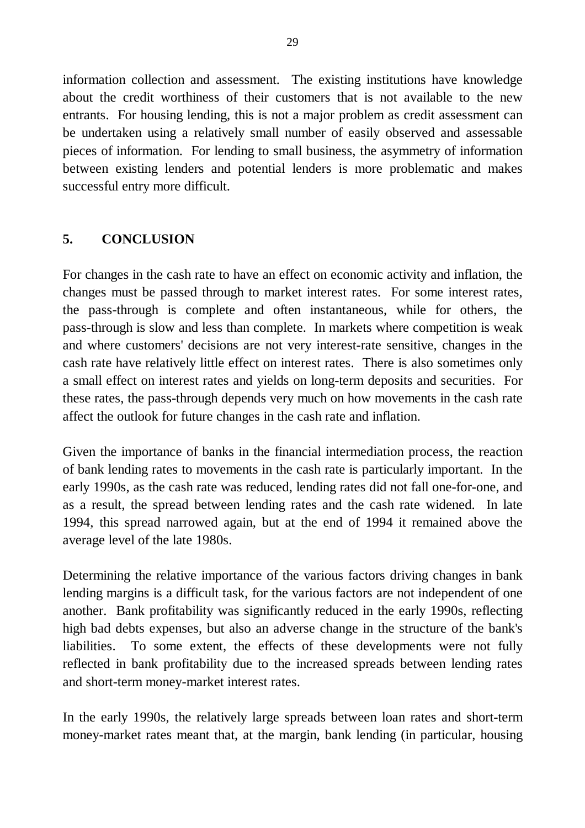information collection and assessment. The existing institutions have knowledge about the credit worthiness of their customers that is not available to the new entrants. For housing lending, this is not a major problem as credit assessment can be undertaken using a relatively small number of easily observed and assessable pieces of information. For lending to small business, the asymmetry of information between existing lenders and potential lenders is more problematic and makes successful entry more difficult.

## **5. CONCLUSION**

For changes in the cash rate to have an effect on economic activity and inflation, the changes must be passed through to market interest rates. For some interest rates, the pass-through is complete and often instantaneous, while for others, the pass-through is slow and less than complete. In markets where competition is weak and where customers' decisions are not very interest-rate sensitive, changes in the cash rate have relatively little effect on interest rates. There is also sometimes only a small effect on interest rates and yields on long-term deposits and securities. For these rates, the pass-through depends very much on how movements in the cash rate affect the outlook for future changes in the cash rate and inflation.

Given the importance of banks in the financial intermediation process, the reaction of bank lending rates to movements in the cash rate is particularly important. In the early 1990s, as the cash rate was reduced, lending rates did not fall one-for-one, and as a result, the spread between lending rates and the cash rate widened. In late 1994, this spread narrowed again, but at the end of 1994 it remained above the average level of the late 1980s.

Determining the relative importance of the various factors driving changes in bank lending margins is a difficult task, for the various factors are not independent of one another. Bank profitability was significantly reduced in the early 1990s, reflecting high bad debts expenses, but also an adverse change in the structure of the bank's liabilities. To some extent, the effects of these developments were not fully reflected in bank profitability due to the increased spreads between lending rates and short-term money-market interest rates.

In the early 1990s, the relatively large spreads between loan rates and short-term money-market rates meant that, at the margin, bank lending (in particular, housing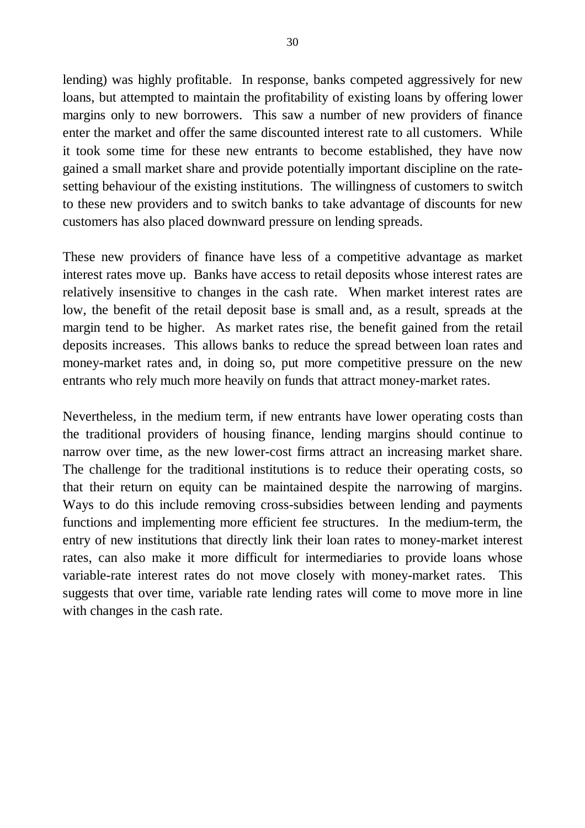lending) was highly profitable. In response, banks competed aggressively for new loans, but attempted to maintain the profitability of existing loans by offering lower margins only to new borrowers. This saw a number of new providers of finance enter the market and offer the same discounted interest rate to all customers. While it took some time for these new entrants to become established, they have now gained a small market share and provide potentially important discipline on the ratesetting behaviour of the existing institutions. The willingness of customers to switch to these new providers and to switch banks to take advantage of discounts for new customers has also placed downward pressure on lending spreads.

These new providers of finance have less of a competitive advantage as market interest rates move up. Banks have access to retail deposits whose interest rates are relatively insensitive to changes in the cash rate. When market interest rates are low, the benefit of the retail deposit base is small and, as a result, spreads at the margin tend to be higher. As market rates rise, the benefit gained from the retail deposits increases. This allows banks to reduce the spread between loan rates and money-market rates and, in doing so, put more competitive pressure on the new entrants who rely much more heavily on funds that attract money-market rates.

Nevertheless, in the medium term, if new entrants have lower operating costs than the traditional providers of housing finance, lending margins should continue to narrow over time, as the new lower-cost firms attract an increasing market share. The challenge for the traditional institutions is to reduce their operating costs, so that their return on equity can be maintained despite the narrowing of margins. Ways to do this include removing cross-subsidies between lending and payments functions and implementing more efficient fee structures. In the medium-term, the entry of new institutions that directly link their loan rates to money-market interest rates, can also make it more difficult for intermediaries to provide loans whose variable-rate interest rates do not move closely with money-market rates. This suggests that over time, variable rate lending rates will come to move more in line with changes in the cash rate.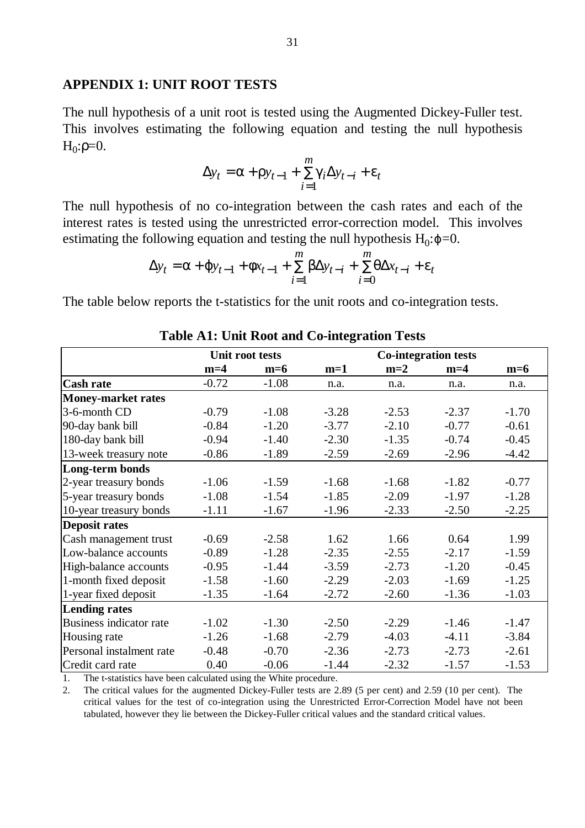#### **APPENDIX 1: UNIT ROOT TESTS**

The null hypothesis of a unit root is tested using the Augmented Dickey-Fuller test. This involves estimating the following equation and testing the null hypothesis  $H_0$ :ρ=0.

$$
\Delta y_t = \mathbf{a} + \mathbf{r} y_{t-1} + \sum_{i=1}^m \mathbf{g} \Delta y_{t-i} + \mathbf{e}_t
$$

The null hypothesis of no co-integration between the cash rates and each of the interest rates is tested using the unrestricted error-correction model. This involves estimating the following equation and testing the null hypothesis  $H_0$ : $j = 0$ .

$$
\Delta y_t = \mathbf{a} + \mathbf{j} y_{t-1} + \mathbf{f} x_{t-1} + \sum_{i=1}^m \mathbf{b} \Delta y_{t-i} + \sum_{i=0}^m \mathbf{q} \Delta x_{t-i} + \mathbf{e}_t
$$

The table below reports the t-statistics for the unit roots and co-integration tests.

|                           |         | Unit root tests |         | <b>Co-integration tests</b> |         |         |  |
|---------------------------|---------|-----------------|---------|-----------------------------|---------|---------|--|
|                           | $m=4$   | $m=6$           | $m=1$   | $m=2$                       | $m=4$   | $m=6$   |  |
| <b>Cash rate</b>          | $-0.72$ | $-1.08$         | n.a.    | n.a.                        | n.a.    | n.a.    |  |
| <b>Money-market rates</b> |         |                 |         |                             |         |         |  |
| 3-6-month CD              | $-0.79$ | $-1.08$         | $-3.28$ | $-2.53$                     | $-2.37$ | $-1.70$ |  |
| 90-day bank bill          | $-0.84$ | $-1.20$         | $-3.77$ | $-2.10$                     | $-0.77$ | $-0.61$ |  |
| 180-day bank bill         | $-0.94$ | $-1.40$         | $-2.30$ | $-1.35$                     | $-0.74$ | $-0.45$ |  |
| 13-week treasury note     | $-0.86$ | $-1.89$         | $-2.59$ | $-2.69$                     | $-2.96$ | $-4.42$ |  |
| Long-term bonds           |         |                 |         |                             |         |         |  |
| 2-year treasury bonds     | $-1.06$ | $-1.59$         | $-1.68$ | $-1.68$                     | $-1.82$ | $-0.77$ |  |
| 5-year treasury bonds     | $-1.08$ | $-1.54$         | $-1.85$ | $-2.09$                     | $-1.97$ | $-1.28$ |  |
| 10-year treasury bonds    | $-1.11$ | $-1.67$         | $-1.96$ | $-2.33$                     | $-2.50$ | $-2.25$ |  |
| <b>Deposit rates</b>      |         |                 |         |                             |         |         |  |
| Cash management trust     | $-0.69$ | $-2.58$         | 1.62    | 1.66                        | 0.64    | 1.99    |  |
| Low-balance accounts      | $-0.89$ | $-1.28$         | $-2.35$ | $-2.55$                     | $-2.17$ | $-1.59$ |  |
| High-balance accounts     | $-0.95$ | $-1.44$         | $-3.59$ | $-2.73$                     | $-1.20$ | $-0.45$ |  |
| 1-month fixed deposit     | $-1.58$ | $-1.60$         | $-2.29$ | $-2.03$                     | $-1.69$ | $-1.25$ |  |
| 1-year fixed deposit      | $-1.35$ | $-1.64$         | $-2.72$ | $-2.60$                     | $-1.36$ | $-1.03$ |  |
| <b>Lending rates</b>      |         |                 |         |                             |         |         |  |
| Business indicator rate   | $-1.02$ | $-1.30$         | $-2.50$ | $-2.29$                     | $-1.46$ | $-1.47$ |  |
| Housing rate              | $-1.26$ | $-1.68$         | $-2.79$ | $-4.03$                     | $-4.11$ | $-3.84$ |  |
| Personal instalment rate  | $-0.48$ | $-0.70$         | $-2.36$ | $-2.73$                     | $-2.73$ | $-2.61$ |  |
| Credit card rate          | 0.40    | $-0.06$         | $-1.44$ | $-2.32$                     | $-1.57$ | $-1.53$ |  |

|  |  |  | <b>Table A1: Unit Root and Co-integration Tests</b> |  |
|--|--|--|-----------------------------------------------------|--|
|--|--|--|-----------------------------------------------------|--|

1. The t-statistics have been calculated using the White procedure.

2. The critical values for the augmented Dickey-Fuller tests are 2.89 (5 per cent) and 2.59 (10 per cent). The critical values for the test of co-integration using the Unrestricted Error-Correction Model have not been tabulated, however they lie between the Dickey-Fuller critical values and the standard critical values.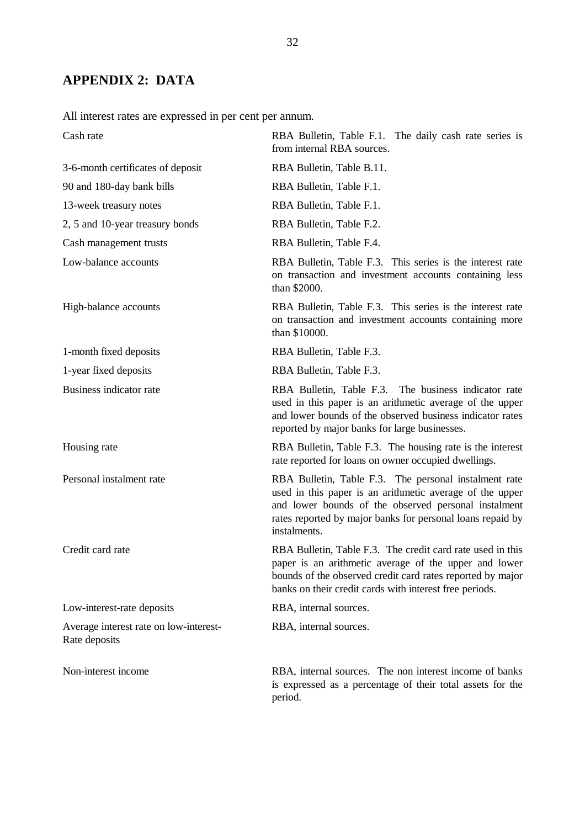# **APPENDIX 2: DATA**

All interest rates are expressed in per cent per annum.

| Cash rate                                               | RBA Bulletin, Table F.1. The daily cash rate series is<br>from internal RBA sources.                                                                                                                                                                    |  |  |  |  |
|---------------------------------------------------------|---------------------------------------------------------------------------------------------------------------------------------------------------------------------------------------------------------------------------------------------------------|--|--|--|--|
| 3-6-month certificates of deposit                       | RBA Bulletin, Table B.11.                                                                                                                                                                                                                               |  |  |  |  |
| 90 and 180-day bank bills                               | RBA Bulletin, Table F.1.                                                                                                                                                                                                                                |  |  |  |  |
| 13-week treasury notes                                  | RBA Bulletin, Table F.1.                                                                                                                                                                                                                                |  |  |  |  |
| 2, 5 and 10-year treasury bonds                         | RBA Bulletin, Table F.2.                                                                                                                                                                                                                                |  |  |  |  |
| Cash management trusts                                  | RBA Bulletin, Table F.4.                                                                                                                                                                                                                                |  |  |  |  |
| Low-balance accounts                                    | RBA Bulletin, Table F.3. This series is the interest rate<br>on transaction and investment accounts containing less<br>than \$2000.                                                                                                                     |  |  |  |  |
| High-balance accounts                                   | RBA Bulletin, Table F.3. This series is the interest rate<br>on transaction and investment accounts containing more<br>than \$10000.                                                                                                                    |  |  |  |  |
| 1-month fixed deposits                                  | RBA Bulletin, Table F.3.                                                                                                                                                                                                                                |  |  |  |  |
| 1-year fixed deposits                                   | RBA Bulletin, Table F.3.                                                                                                                                                                                                                                |  |  |  |  |
| Business indicator rate                                 | RBA Bulletin, Table F.3. The business indicator rate<br>used in this paper is an arithmetic average of the upper<br>and lower bounds of the observed business indicator rates<br>reported by major banks for large businesses.                          |  |  |  |  |
| Housing rate                                            | RBA Bulletin, Table F.3. The housing rate is the interest<br>rate reported for loans on owner occupied dwellings.                                                                                                                                       |  |  |  |  |
| Personal instalment rate                                | RBA Bulletin, Table F.3. The personal instalment rate<br>used in this paper is an arithmetic average of the upper<br>and lower bounds of the observed personal instalment<br>rates reported by major banks for personal loans repaid by<br>instalments. |  |  |  |  |
| Credit card rate                                        | RBA Bulletin, Table F.3. The credit card rate used in this<br>paper is an arithmetic average of the upper and lower<br>bounds of the observed credit card rates reported by major<br>banks on their credit cards with interest free periods.            |  |  |  |  |
| Low-interest-rate deposits                              | RBA, internal sources.                                                                                                                                                                                                                                  |  |  |  |  |
| Average interest rate on low-interest-<br>Rate deposits | RBA, internal sources.                                                                                                                                                                                                                                  |  |  |  |  |
| Non-interest income                                     | RBA, internal sources. The non interest income of banks<br>is expressed as a percentage of their total assets for the<br>period.                                                                                                                        |  |  |  |  |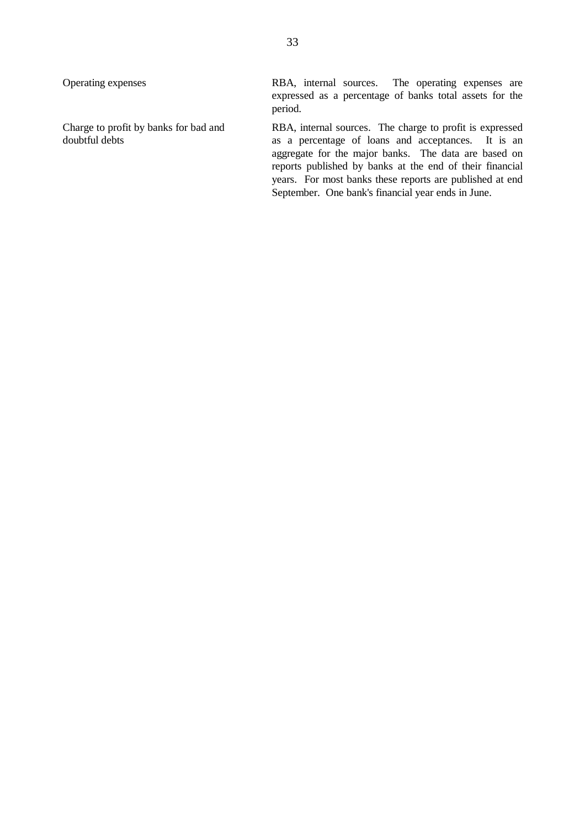Operating expenses RBA, internal sources. The operating expenses are expressed as a percentage of banks total assets for the period.

Charge to profit by banks for bad and RBA, internal sources. The charge to profit is expressed<br>doubtful debts as a percentage of loans and acceptances. It is an as a percentage of loans and acceptances. It is an aggregate for the major banks. The data are based on reports published by banks at the end of their financial years. For most banks these reports are published at end September. One bank's financial year ends in June.